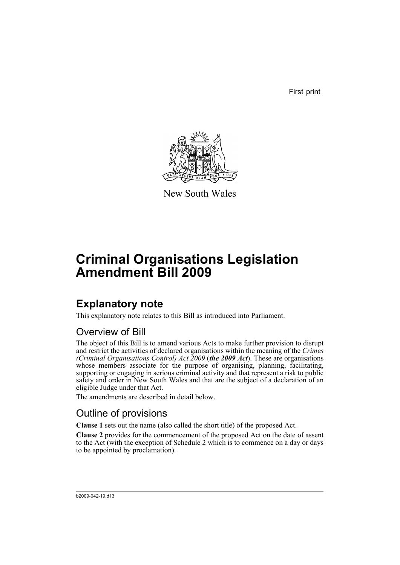First print



New South Wales

# **Criminal Organisations Legislation Amendment Bill 2009**

## **Explanatory note**

This explanatory note relates to this Bill as introduced into Parliament.

## Overview of Bill

The object of this Bill is to amend various Acts to make further provision to disrupt and restrict the activities of declared organisations within the meaning of the *Crimes (Criminal Organisations Control) Act 2009* (*the 2009 Act*). These are organisations whose members associate for the purpose of organising, planning, facilitating, supporting or engaging in serious criminal activity and that represent a risk to public safety and order in New South Wales and that are the subject of a declaration of an eligible Judge under that Act.

The amendments are described in detail below.

## Outline of provisions

**Clause 1** sets out the name (also called the short title) of the proposed Act.

**Clause 2** provides for the commencement of the proposed Act on the date of assent to the Act (with the exception of Schedule 2 which is to commence on a day or days to be appointed by proclamation).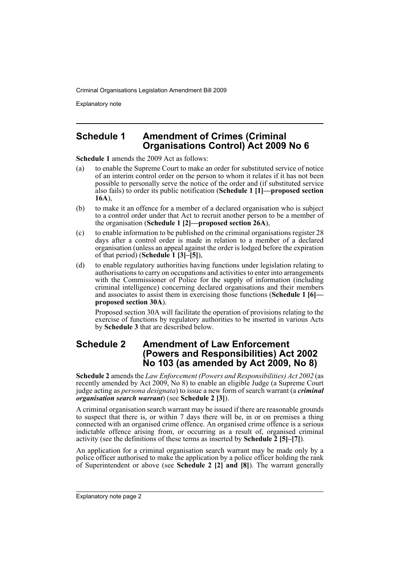Explanatory note

### **Schedule 1 Amendment of Crimes (Criminal Organisations Control) Act 2009 No 6**

**Schedule 1** amends the 2009 Act as follows:

- (a) to enable the Supreme Court to make an order for substituted service of notice of an interim control order on the person to whom it relates if it has not been possible to personally serve the notice of the order and (if substituted service also fails) to order its public notification (**Schedule 1 [1]—proposed section 16A**),
- (b) to make it an offence for a member of a declared organisation who is subject to a control order under that Act to recruit another person to be a member of the organisation (**Schedule 1 [2]—proposed section 26A**),
- (c) to enable information to be published on the criminal organisations register 28 days after a control order is made in relation to a member of a declared organisation (unless an appeal against the order is lodged before the expiration of that period) (**Schedule 1 [3]–[5]**),
- (d) to enable regulatory authorities having functions under legislation relating to authorisations to carry on occupations and activities to enter into arrangements with the Commissioner of Police for the supply of information (including criminal intelligence) concerning declared organisations and their members and associates to assist them in exercising those functions (**Schedule 1 [6] proposed section 30A**).

Proposed section 30A will facilitate the operation of provisions relating to the exercise of functions by regulatory authorities to be inserted in various Acts by **Schedule 3** that are described below.

## **Schedule 2 Amendment of Law Enforcement (Powers and Responsibilities) Act 2002 No 103 (as amended by Act 2009, No 8)**

**Schedule 2** amends the *Law Enforcement (Powers and Responsibilities) Act 2002* (as recently amended by Act 2009, No 8) to enable an eligible Judge (a Supreme Court judge acting as *persona designata*) to issue a new form of search warrant (a *criminal organisation search warrant*) (see **Schedule 2 [3]**).

A criminal organisation search warrant may be issued if there are reasonable grounds to suspect that there is, or within 7 days there will be, in or on premises a thing connected with an organised crime offence. An organised crime offence is a serious indictable offence arising from, or occurring as a result of, organised criminal activity (see the definitions of these terms as inserted by **Schedule 2 [5]–[7]**).

An application for a criminal organisation search warrant may be made only by a police officer authorised to make the application by a police officer holding the rank of Superintendent or above (see **Schedule 2 [2] and [8]**). The warrant generally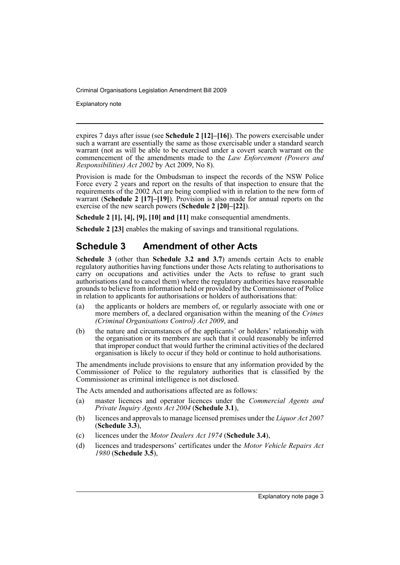Explanatory note

expires 7 days after issue (see **Schedule 2 [12]–[16]**). The powers exercisable under such a warrant are essentially the same as those exercisable under a standard search warrant (not as will be able to be exercised under a covert search warrant on the commencement of the amendments made to the *Law Enforcement (Powers and Responsibilities) Act 2002* by Act 2009, No 8).

Provision is made for the Ombudsman to inspect the records of the NSW Police Force every 2 years and report on the results of that inspection to ensure that the requirements of the 2002 Act are being complied with in relation to the new form of warrant (**Schedule 2 [17]–[19]**). Provision is also made for annual reports on the exercise of the new search powers (**Schedule 2 [20]–[22]**).

**Schedule 2 [1], [4], [9], [10] and [11]** make consequential amendments.

**Schedule 2 [23]** enables the making of savings and transitional regulations.

## **Schedule 3 Amendment of other Acts**

**Schedule 3** (other than **Schedule 3.2 and 3.7**) amends certain Acts to enable regulatory authorities having functions under those Acts relating to authorisations to carry on occupations and activities under the Acts to refuse to grant such authorisations (and to cancel them) where the regulatory authorities have reasonable grounds to believe from information held or provided by the Commissioner of Police in relation to applicants for authorisations or holders of authorisations that:

- (a) the applicants or holders are members of, or regularly associate with one or more members of, a declared organisation within the meaning of the *Crimes (Criminal Organisations Control) Act 2009*, and
- (b) the nature and circumstances of the applicants' or holders' relationship with the organisation or its members are such that it could reasonably be inferred that improper conduct that would further the criminal activities of the declared organisation is likely to occur if they hold or continue to hold authorisations.

The amendments include provisions to ensure that any information provided by the Commissioner of Police to the regulatory authorities that is classified by the Commissioner as criminal intelligence is not disclosed.

The Acts amended and authorisations affected are as follows:

- (a) master licences and operator licences under the *Commercial Agents and Private Inquiry Agents Act 2004* (**Schedule 3.1**),
- (b) licences and approvals to manage licensed premises under the *Liquor Act 2007* (**Schedule 3.3**),
- (c) licences under the *Motor Dealers Act 1974* (**Schedule 3.4**),
- (d) licences and tradespersons' certificates under the *Motor Vehicle Repairs Act 1980* (**Schedule 3.5**),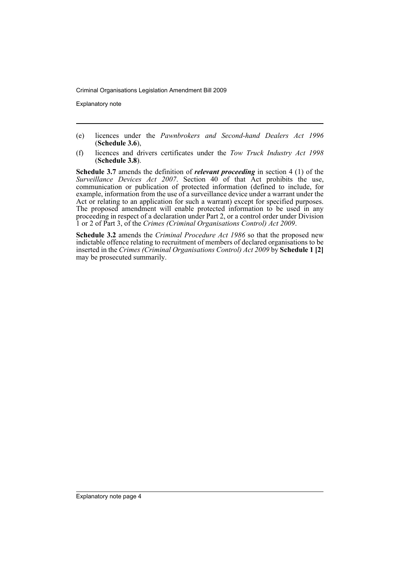Explanatory note

- (e) licences under the *Pawnbrokers and Second-hand Dealers Act 1996* (**Schedule 3.6**),
- (f) licences and drivers certificates under the *Tow Truck Industry Act 1998* (**Schedule 3.8**).

**Schedule 3.7** amends the definition of *relevant proceeding* in section 4 (1) of the *Surveillance Devices Act 2007.* Section 40 of that Act prohibits the use, communication or publication of protected information (defined to include, for example, information from the use of a surveillance device under a warrant under the Act or relating to an application for such a warrant) except for specified purposes. The proposed amendment will enable protected information to be used in any proceeding in respect of a declaration under Part 2, or a control order under Division 1 or 2 of Part 3, of the *Crimes (Criminal Organisations Control) Act 2009*.

**Schedule 3.2** amends the *Criminal Procedure Act 1986* so that the proposed new indictable offence relating to recruitment of members of declared organisations to be inserted in the *Crimes (Criminal Organisations Control) Act 2009* by **Schedule 1 [2]** may be prosecuted summarily.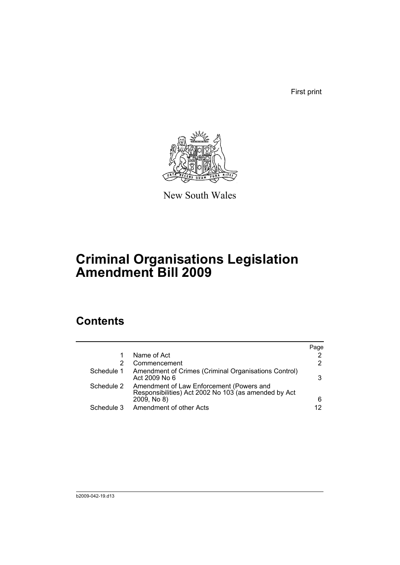First print



New South Wales

## **Criminal Organisations Legislation Amendment Bill 2009**

## **Contents**

|            |                                                                                                                 | Page |
|------------|-----------------------------------------------------------------------------------------------------------------|------|
|            | Name of Act                                                                                                     | 2    |
| 2          | Commencement                                                                                                    | 2    |
| Schedule 1 | Amendment of Crimes (Criminal Organisations Control)<br>Act 2009 No 6                                           | 3    |
| Schedule 2 | Amendment of Law Enforcement (Powers and<br>Responsibilities) Act 2002 No 103 (as amended by Act<br>2009, No 8) | 6    |
| Schedule 3 | Amendment of other Acts                                                                                         | 12   |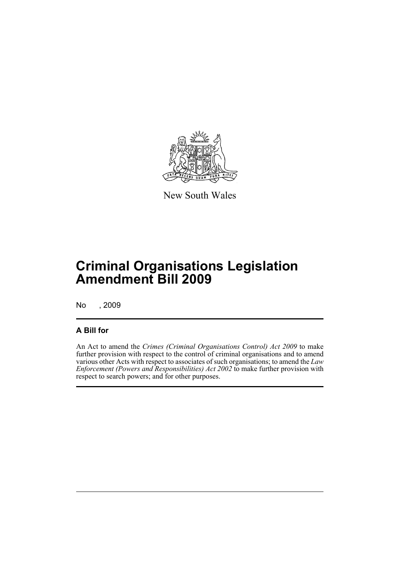

New South Wales

## **Criminal Organisations Legislation Amendment Bill 2009**

No , 2009

### **A Bill for**

An Act to amend the *Crimes (Criminal Organisations Control) Act 2009* to make further provision with respect to the control of criminal organisations and to amend various other Acts with respect to associates of such organisations; to amend the *Law Enforcement (Powers and Responsibilities) Act 2002* to make further provision with respect to search powers; and for other purposes.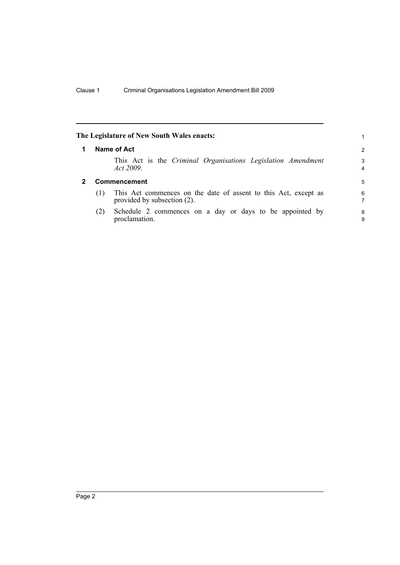<span id="page-7-1"></span><span id="page-7-0"></span>

|   |     | The Legislature of New South Wales enacts:                                                     | 1      |
|---|-----|------------------------------------------------------------------------------------------------|--------|
|   |     | Name of Act                                                                                    | 2      |
|   |     | This Act is the Criminal Organisations Legislation Amendment<br>Act 2009.                      | 3<br>4 |
| 2 |     | <b>Commencement</b>                                                                            | 5      |
|   | (1) | This Act commences on the date of assent to this Act, except as<br>provided by subsection (2). | 6<br>7 |
|   | (2) | Schedule 2 commences on a day or days to be appointed by<br>proclamation.                      | 8<br>9 |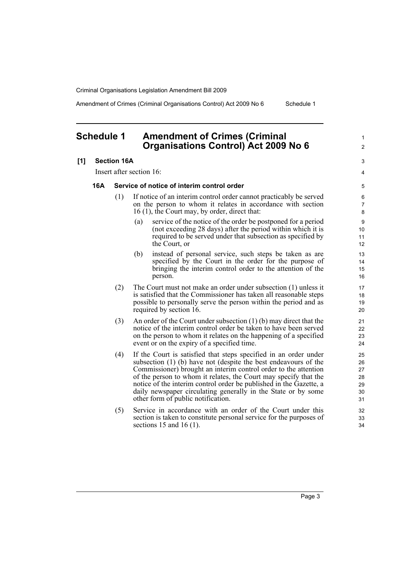Amendment of Crimes (Criminal Organisations Control) Act 2009 No 6 Schedule 1

1  $\mathfrak{p}$ 

 $\overline{a}$ 4

### <span id="page-8-0"></span>**Schedule 1 Amendment of Crimes (Criminal Organisations Control) Act 2009 No 6**

#### **[1] Section 16A**

Insert after section 16:

#### **16A Service of notice of interim control order**

- (1) If notice of an interim control order cannot practicably be served on the person to whom it relates in accordance with section 16 (1), the Court may, by order, direct that:
	- (a) service of the notice of the order be postponed for a period (not exceeding 28 days) after the period within which it is required to be served under that subsection as specified by the Court, or
	- (b) instead of personal service, such steps be taken as are specified by the Court in the order for the purpose of bringing the interim control order to the attention of the person.
- (2) The Court must not make an order under subsection (1) unless it is satisfied that the Commissioner has taken all reasonable steps possible to personally serve the person within the period and as required by section 16.
- (3) An order of the Court under subsection (1) (b) may direct that the notice of the interim control order be taken to have been served on the person to whom it relates on the happening of a specified event or on the expiry of a specified time.
- (4) If the Court is satisfied that steps specified in an order under subsection (1) (b) have not (despite the best endeavours of the Commissioner) brought an interim control order to the attention of the person to whom it relates, the Court may specify that the notice of the interim control order be published in the Gazette, a daily newspaper circulating generally in the State or by some other form of public notification.
- (5) Service in accordance with an order of the Court under this section is taken to constitute personal service for the purposes of sections 15 and 16 (1).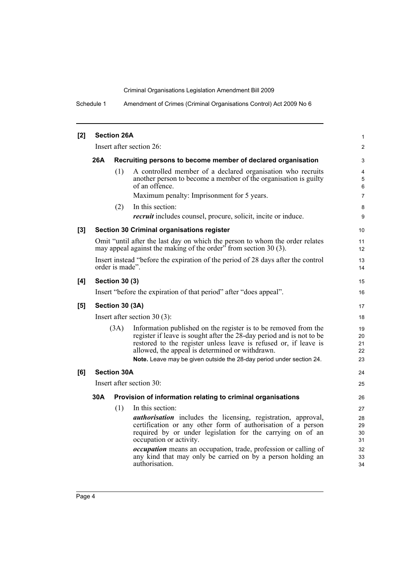Schedule 1 Amendment of Crimes (Criminal Organisations Control) Act 2009 No 6

| [2]   | <b>Section 26A</b> |                       |                                                                                                                                                                                                                                                                                                                                        |                            |  |
|-------|--------------------|-----------------------|----------------------------------------------------------------------------------------------------------------------------------------------------------------------------------------------------------------------------------------------------------------------------------------------------------------------------------------|----------------------------|--|
|       |                    |                       | Insert after section 26:                                                                                                                                                                                                                                                                                                               | $\overline{2}$             |  |
|       | 26A                |                       | Recruiting persons to become member of declared organisation                                                                                                                                                                                                                                                                           | 3                          |  |
|       |                    | (1)                   | A controlled member of a declared organisation who recruits<br>another person to become a member of the organisation is guilty<br>of an offence.<br>Maximum penalty: Imprisonment for 5 years.                                                                                                                                         | 4<br>5<br>6<br>7           |  |
|       |                    | (2)                   | In this section:                                                                                                                                                                                                                                                                                                                       | 8                          |  |
|       |                    |                       | <i>recruit</i> includes counsel, procure, solicit, incite or induce.                                                                                                                                                                                                                                                                   | 9                          |  |
| $[3]$ |                    |                       | Section 30 Criminal organisations register                                                                                                                                                                                                                                                                                             | 10                         |  |
|       |                    |                       | Omit "until after the last day on which the person to whom the order relates<br>may appeal against the making of the order <sup>5</sup> from section 30 (3).                                                                                                                                                                           | 11<br>12 <sup>2</sup>      |  |
|       |                    | order is made".       | Insert instead "before the expiration of the period of 28 days after the control                                                                                                                                                                                                                                                       | 13<br>14                   |  |
| [4]   |                    | <b>Section 30 (3)</b> |                                                                                                                                                                                                                                                                                                                                        | 15                         |  |
|       |                    |                       | Insert "before the expiration of that period" after "does appeal".                                                                                                                                                                                                                                                                     | 16                         |  |
| [5]   |                    | Section 30 (3A)       |                                                                                                                                                                                                                                                                                                                                        | 17                         |  |
|       |                    |                       | Insert after section $30(3)$ :                                                                                                                                                                                                                                                                                                         | 18                         |  |
|       |                    | (3A)                  | Information published on the register is to be removed from the<br>register if leave is sought after the 28-day period and is not to be<br>restored to the register unless leave is refused or, if leave is<br>allowed, the appeal is determined or withdrawn.<br>Note. Leave may be given outside the 28-day period under section 24. | 19<br>20<br>21<br>22<br>23 |  |
| [6]   |                    | <b>Section 30A</b>    |                                                                                                                                                                                                                                                                                                                                        | 24                         |  |
|       |                    |                       | Insert after section 30:                                                                                                                                                                                                                                                                                                               | 25                         |  |
|       | 30A                |                       | Provision of information relating to criminal organisations                                                                                                                                                                                                                                                                            | 26                         |  |
|       |                    | (1)                   | In this section:                                                                                                                                                                                                                                                                                                                       | 27                         |  |
|       |                    |                       | <i>authorisation</i> includes the licensing, registration, approval,<br>certification or any other form of authorisation of a person<br>required by or under legislation for the carrying on of an<br>occupation or activity.                                                                                                          | 28<br>29<br>30<br>31       |  |
|       |                    |                       | occupation means an occupation, trade, profession or calling of<br>any kind that may only be carried on by a person holding an<br>authorisation.                                                                                                                                                                                       | 32<br>33<br>34             |  |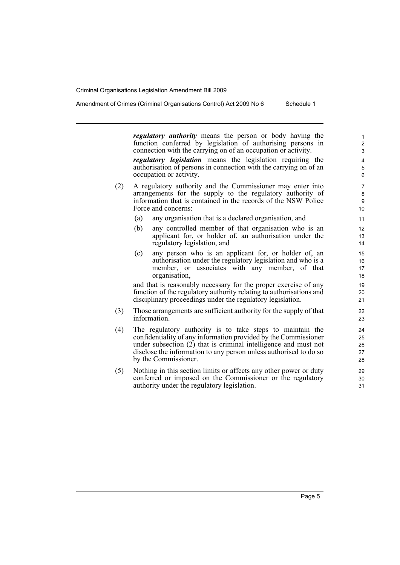*regulatory authority* means the person or body having the function conferred by legislation of authorising persons in connection with the carrying on of an occupation or activity.

*regulatory legislation* means the legislation requiring the authorisation of persons in connection with the carrying on of an occupation or activity.

- (2) A regulatory authority and the Commissioner may enter into arrangements for the supply to the regulatory authority of information that is contained in the records of the NSW Police Force and concerns:
	- (a) any organisation that is a declared organisation, and
	- (b) any controlled member of that organisation who is an applicant for, or holder of, an authorisation under the regulatory legislation, and
	- (c) any person who is an applicant for, or holder of, an authorisation under the regulatory legislation and who is a member, or associates with any member, of that organisation,

and that is reasonably necessary for the proper exercise of any function of the regulatory authority relating to authorisations and disciplinary proceedings under the regulatory legislation.

- (3) Those arrangements are sufficient authority for the supply of that information.
- (4) The regulatory authority is to take steps to maintain the confidentiality of any information provided by the Commissioner under subsection (2) that is criminal intelligence and must not disclose the information to any person unless authorised to do so by the Commissioner.
- (5) Nothing in this section limits or affects any other power or duty conferred or imposed on the Commissioner or the regulatory authority under the regulatory legislation.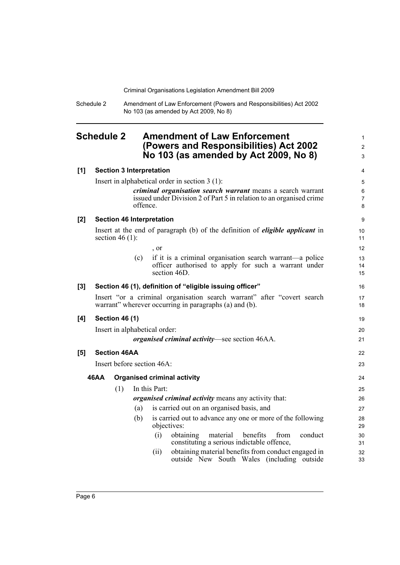Schedule 2 Amendment of Law Enforcement (Powers and Responsibilities) Act 2002 No 103 (as amended by Act 2009, No 8)

### <span id="page-11-0"></span>**Schedule 2 Amendment of Law Enforcement (Powers and Responsibilities) Act 2002 No 103 (as amended by Act 2009, No 8)**

1 2 3

| [1]   |      | <b>Section 3 Interpretation</b>  |          |               |                                                                                                                                    | $\overline{4}$                 |
|-------|------|----------------------------------|----------|---------------|------------------------------------------------------------------------------------------------------------------------------------|--------------------------------|
|       |      |                                  |          |               | Insert in alphabetical order in section $3(1)$ :                                                                                   | 5                              |
|       |      |                                  | offence. |               | criminal organisation search warrant means a search warrant<br>issued under Division 2 of Part 5 in relation to an organised crime | $\,6\,$<br>$\overline{7}$<br>8 |
| [2]   |      | <b>Section 46 Interpretation</b> |          |               |                                                                                                                                    | 9                              |
|       |      | section 46 $(1)$ :               |          |               | Insert at the end of paragraph (b) of the definition of <i>eligible applicant</i> in                                               | 10<br>11                       |
|       |      |                                  |          | , or          |                                                                                                                                    | 12                             |
|       |      |                                  | (c)      |               | if it is a criminal organisation search warrant—a police<br>officer authorised to apply for such a warrant under<br>section 46D.   | 13<br>14<br>15                 |
| $[3]$ |      |                                  |          |               | Section 46 (1), definition of "eligible issuing officer"                                                                           | 16                             |
|       |      |                                  |          |               | Insert "or a criminal organisation search warrant" after "covert search<br>warrant" wherever occurring in paragraphs (a) and (b).  | 17<br>18                       |
| [4]   |      | <b>Section 46 (1)</b>            |          |               |                                                                                                                                    | 19                             |
|       |      | Insert in alphabetical order:    |          |               |                                                                                                                                    | 20                             |
|       |      |                                  |          |               | <i>organised criminal activity</i> —see section 46AA.                                                                              | 21                             |
| [5]   |      | <b>Section 46AA</b>              |          |               |                                                                                                                                    | 22                             |
|       |      | Insert before section 46A:       |          |               |                                                                                                                                    | 23                             |
|       | 46AA |                                  |          |               | <b>Organised criminal activity</b>                                                                                                 | 24                             |
|       |      | (1)                              |          | In this Part: |                                                                                                                                    | 25                             |
|       |      |                                  |          |               | <i>organised criminal activity</i> means any activity that:                                                                        | 26                             |
|       |      |                                  | (a)      |               | is carried out on an organised basis, and                                                                                          | 27                             |
|       |      |                                  | (b)      |               | is carried out to advance any one or more of the following<br>objectives:                                                          | 28<br>29                       |
|       |      |                                  |          | (i)           | benefits<br>conduct<br>obtaining<br>material<br>from<br>constituting a serious indictable offence,                                 | 30<br>31                       |
|       |      |                                  |          | (ii)          | obtaining material benefits from conduct engaged in<br>outside New South Wales (including outside                                  | 32<br>33                       |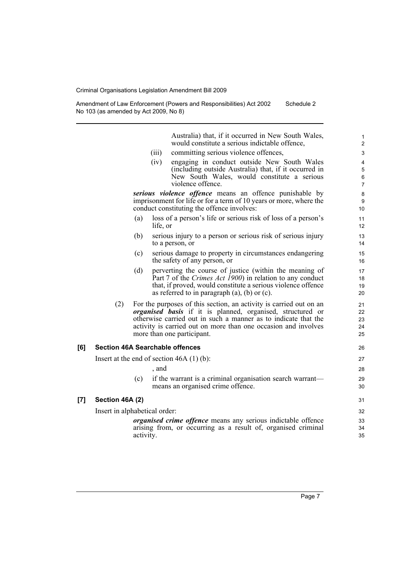Amendment of Law Enforcement (Powers and Responsibilities) Act 2002 No 103 (as amended by Act 2009, No 8) Schedule 2

> Australia) that, if it occurred in New South Wales, would constitute a serious indictable offence,

- (iii) committing serious violence offences,
- (iv) engaging in conduct outside New South Wales (including outside Australia) that, if it occurred in New South Wales, would constitute a serious violence offence.

*serious violence offence* means an offence punishable by imprisonment for life or for a term of 10 years or more, where the conduct constituting the offence involves:

- (a) loss of a person's life or serious risk of loss of a person's life, or
- (b) serious injury to a person or serious risk of serious injury to a person, or
- (c) serious damage to property in circumstances endangering the safety of any person, or
- (d) perverting the course of justice (within the meaning of Part 7 of the *Crimes Act 1900*) in relation to any conduct that, if proved, would constitute a serious violence offence as referred to in paragraph  $(a)$ ,  $(b)$  or  $(c)$ .
- (2) For the purposes of this section, an activity is carried out on an *organised basis* if it is planned, organised, structured or otherwise carried out in such a manner as to indicate that the activity is carried out on more than one occasion and involves more than one participant.

#### **[6] Section 46A Searchable offences**

Insert at the end of section 46A (1) (b): , and

(c) if the warrant is a criminal organisation search warrant means an organised crime offence.

### **[7] Section 46A (2)**

Insert in alphabetical order:

*organised crime offence* means any serious indictable offence arising from, or occurring as a result of, organised criminal activity.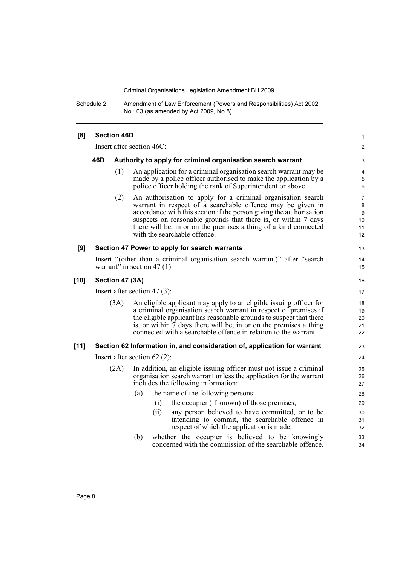Schedule 2 Amendment of Law Enforcement (Powers and Responsibilities) Act 2002 No 103 (as amended by Act 2009, No 8)

| [8]    | <b>Section 46D</b>              |      |                                                                                                                                                                                                                                                                                                                                                                         |                                            |  |  |
|--------|---------------------------------|------|-------------------------------------------------------------------------------------------------------------------------------------------------------------------------------------------------------------------------------------------------------------------------------------------------------------------------------------------------------------------------|--------------------------------------------|--|--|
|        | Insert after section 46C:       |      |                                                                                                                                                                                                                                                                                                                                                                         |                                            |  |  |
|        | 46D                             |      | Authority to apply for criminal organisation search warrant                                                                                                                                                                                                                                                                                                             |                                            |  |  |
|        |                                 | (1)  | An application for a criminal organisation search warrant may be<br>made by a police officer authorised to make the application by a<br>police officer holding the rank of Superintendent or above.                                                                                                                                                                     | 4<br>5<br>6                                |  |  |
|        |                                 | (2)  | An authorisation to apply for a criminal organisation search<br>warrant in respect of a searchable offence may be given in<br>accordance with this section if the person giving the authorisation<br>suspects on reasonable grounds that there is, or within 7 days<br>there will be, in or on the premises a thing of a kind connected<br>with the searchable offence. | $\overline{7}$<br>8<br>9<br>10<br>11<br>12 |  |  |
| [9]    |                                 |      | Section 47 Power to apply for search warrants                                                                                                                                                                                                                                                                                                                           | 13                                         |  |  |
|        |                                 |      | Insert "(other than a criminal organisation search warrant)" after "search<br>warrant" in section 47 $(1)$ .                                                                                                                                                                                                                                                            | 14<br>15                                   |  |  |
| $[10]$ | Section 47 (3A)                 |      |                                                                                                                                                                                                                                                                                                                                                                         |                                            |  |  |
|        | Insert after section 47 $(3)$ : |      |                                                                                                                                                                                                                                                                                                                                                                         |                                            |  |  |
|        |                                 | (3A) | An eligible applicant may apply to an eligible issuing officer for<br>a criminal organisation search warrant in respect of premises if<br>the eligible applicant has reasonable grounds to suspect that there<br>is, or within 7 days there will be, in or on the premises a thing<br>connected with a searchable offence in relation to the warrant.                   | 18<br>19<br>20<br>21<br>22                 |  |  |
| $[11]$ |                                 |      | Section 62 Information in, and consideration of, application for warrant                                                                                                                                                                                                                                                                                                | 23                                         |  |  |
|        |                                 |      | Insert after section $62(2)$ :                                                                                                                                                                                                                                                                                                                                          | 24                                         |  |  |
|        |                                 | (2A) | In addition, an eligible issuing officer must not issue a criminal<br>organisation search warrant unless the application for the warrant<br>includes the following information:                                                                                                                                                                                         | 25<br>26<br>27                             |  |  |
|        |                                 |      | the name of the following persons:<br>(a)                                                                                                                                                                                                                                                                                                                               | 28                                         |  |  |
|        |                                 |      | the occupier (if known) of those premises,<br>(i)                                                                                                                                                                                                                                                                                                                       | 29                                         |  |  |
|        |                                 |      | (ii)<br>any person believed to have committed, or to be<br>intending to commit, the searchable offence in<br>respect of which the application is made,                                                                                                                                                                                                                  | 30<br>31<br>32                             |  |  |
|        |                                 |      | whether the occupier is believed to be knowingly<br>(b)<br>concerned with the commission of the searchable offence.                                                                                                                                                                                                                                                     | 33<br>34                                   |  |  |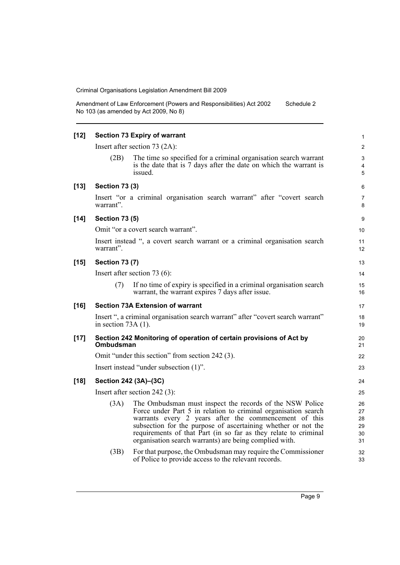Amendment of Law Enforcement (Powers and Responsibilities) Act 2002 No 103 (as amended by Act 2009, No 8) Schedule 2

| $[12]$ | <b>Section 73 Expiry of warrant</b>                                                                                                                                                                                                                                                                                                                                                       | 1                                 |
|--------|-------------------------------------------------------------------------------------------------------------------------------------------------------------------------------------------------------------------------------------------------------------------------------------------------------------------------------------------------------------------------------------------|-----------------------------------|
|        | Insert after section $73$ (2A):                                                                                                                                                                                                                                                                                                                                                           | $\overline{2}$                    |
|        | The time so specified for a criminal organisation search warrant<br>(2B)<br>is the date that is 7 days after the date on which the warrant is<br>issued.                                                                                                                                                                                                                                  | 3<br>$\overline{\mathbf{4}}$<br>5 |
| $[13]$ | <b>Section 73 (3)</b>                                                                                                                                                                                                                                                                                                                                                                     | 6                                 |
|        | Insert "or a criminal organisation search warrant" after "covert search<br>warrant".                                                                                                                                                                                                                                                                                                      | 7<br>8                            |
| $[14]$ | <b>Section 73 (5)</b>                                                                                                                                                                                                                                                                                                                                                                     | 9                                 |
|        | Omit "or a covert search warrant".                                                                                                                                                                                                                                                                                                                                                        | 10                                |
|        | Insert instead ", a covert search warrant or a criminal organisation search<br>warrant".                                                                                                                                                                                                                                                                                                  | 11<br>12                          |
| $[15]$ | <b>Section 73 (7)</b>                                                                                                                                                                                                                                                                                                                                                                     | 13                                |
|        | Insert after section 73 $(6)$ :                                                                                                                                                                                                                                                                                                                                                           | 14                                |
|        | If no time of expiry is specified in a criminal organisation search<br>(7)<br>warrant, the warrant expires 7 days after issue.                                                                                                                                                                                                                                                            | 15<br>16                          |
|        |                                                                                                                                                                                                                                                                                                                                                                                           |                                   |
| $[16]$ | <b>Section 73A Extension of warrant</b>                                                                                                                                                                                                                                                                                                                                                   | 17                                |
|        | Insert ", a criminal organisation search warrant" after "covert search warrant"<br>in section $73A(1)$ .                                                                                                                                                                                                                                                                                  | 18<br>19                          |
| $[17]$ | Section 242 Monitoring of operation of certain provisions of Act by<br>Ombudsman                                                                                                                                                                                                                                                                                                          | 20<br>21                          |
|        | Omit "under this section" from section 242 (3).                                                                                                                                                                                                                                                                                                                                           | 22                                |
|        | Insert instead "under subsection (1)".                                                                                                                                                                                                                                                                                                                                                    | 23                                |
| $[18]$ | Section 242 (3A)-(3C)                                                                                                                                                                                                                                                                                                                                                                     | 24                                |
|        | Insert after section $242$ (3):                                                                                                                                                                                                                                                                                                                                                           | 25                                |
|        | The Ombudsman must inspect the records of the NSW Police<br>(3A)<br>Force under Part 5 in relation to criminal organisation search<br>warrants every 2 years after the commencement of this<br>subsection for the purpose of ascertaining whether or not the<br>requirements of that Part (in so far as they relate to criminal<br>organisation search warrants) are being complied with. | 26<br>27<br>28<br>29<br>30<br>31  |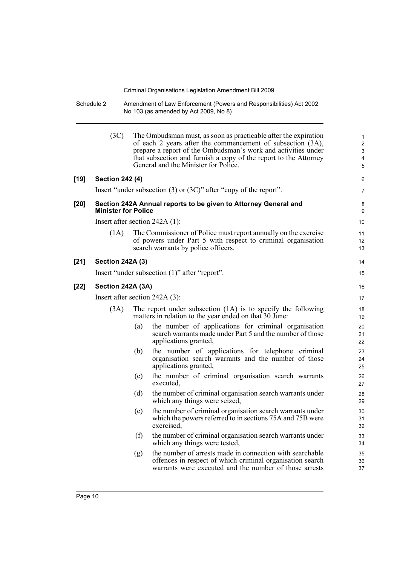Schedule 2 Amendment of Law Enforcement (Powers and Responsibilities) Act 2002 No 103 (as amended by Act 2009, No 8)

|        | (3C)                             |     | The Ombudsman must, as soon as practicable after the expiration<br>of each 2 years after the commencement of subsection (3A),<br>prepare a report of the Ombudsman's work and activities under<br>that subsection and furnish a copy of the report to the Attorney<br>General and the Minister for Police. | $\mathbf{1}$<br>2<br>3<br>4<br>5 |  |  |
|--------|----------------------------------|-----|------------------------------------------------------------------------------------------------------------------------------------------------------------------------------------------------------------------------------------------------------------------------------------------------------------|----------------------------------|--|--|
| $[19]$ | <b>Section 242 (4)</b>           |     |                                                                                                                                                                                                                                                                                                            | 6                                |  |  |
|        |                                  |     | Insert "under subsection $(3)$ or $(3C)$ " after "copy of the report".                                                                                                                                                                                                                                     | $\overline{7}$                   |  |  |
| $[20]$ | <b>Minister for Police</b>       |     | Section 242A Annual reports to be given to Attorney General and                                                                                                                                                                                                                                            | 8<br>9                           |  |  |
|        | Insert after section $242A(1)$ : |     |                                                                                                                                                                                                                                                                                                            | 10                               |  |  |
|        | (1A)                             |     | The Commissioner of Police must report annually on the exercise<br>of powers under Part 5 with respect to criminal organisation<br>search warrants by police officers.                                                                                                                                     | 11<br>12<br>13                   |  |  |
| $[21]$ | <b>Section 242A (3)</b>          |     |                                                                                                                                                                                                                                                                                                            | 14                               |  |  |
|        |                                  |     | Insert "under subsection (1)" after "report".                                                                                                                                                                                                                                                              | 15                               |  |  |
| $[22]$ | Section 242A (3A)                |     |                                                                                                                                                                                                                                                                                                            |                                  |  |  |
|        | Insert after section 242A (3):   |     |                                                                                                                                                                                                                                                                                                            | 17                               |  |  |
|        | (3A)                             |     | The report under subsection (1A) is to specify the following<br>matters in relation to the year ended on that 30 June:                                                                                                                                                                                     | 18<br>19                         |  |  |
|        |                                  | (a) | the number of applications for criminal organisation<br>search warrants made under Part 5 and the number of those<br>applications granted,                                                                                                                                                                 | 20<br>21<br>22                   |  |  |
|        |                                  | (b) | the number of applications for telephone criminal<br>organisation search warrants and the number of those<br>applications granted,                                                                                                                                                                         | 23<br>24<br>25                   |  |  |
|        |                                  | (c) | the number of criminal organisation search warrants<br>executed.                                                                                                                                                                                                                                           | 26<br>27                         |  |  |
|        |                                  | (d) | the number of criminal organisation search warrants under<br>which any things were seized,                                                                                                                                                                                                                 | 28<br>29                         |  |  |
|        |                                  | (e) | the number of criminal organisation search warrants under<br>which the powers referred to in sections 75A and 75B were<br>exercised,                                                                                                                                                                       | 30<br>31<br>32                   |  |  |
|        |                                  | (f) | the number of criminal organisation search warrants under<br>which any things were tested,                                                                                                                                                                                                                 | 33<br>34                         |  |  |
|        |                                  | (g) | the number of arrests made in connection with searchable<br>offences in respect of which criminal organisation search<br>warrants were executed and the number of those arrests                                                                                                                            | 35<br>36<br>37                   |  |  |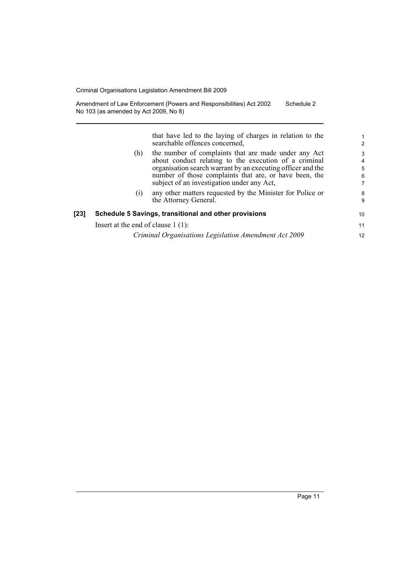Amendment of Law Enforcement (Powers and Responsibilities) Act 2002 No 103 (as amended by Act 2009, No 8) Schedule 2

> that have led to the laying of charges in relation to the searchable offences concerned,

| (h) | the number of complaints that are made under any Act<br>about conduct relating to the execution of a criminal         |
|-----|-----------------------------------------------------------------------------------------------------------------------|
|     | organisation search warrant by an executing officer and the<br>number of those complaints that are, or have been, the |
|     | subject of an investigation under any Act,                                                                            |
| (i) | any other matters requested by the Minister for Police or<br>the Attorney General.                                    |

10 11 12

#### **[23] Schedule 5 Savings, transitional and other provisions**

Insert at the end of clause 1 (1):

*Criminal Organisations Legislation Amendment Act 2009*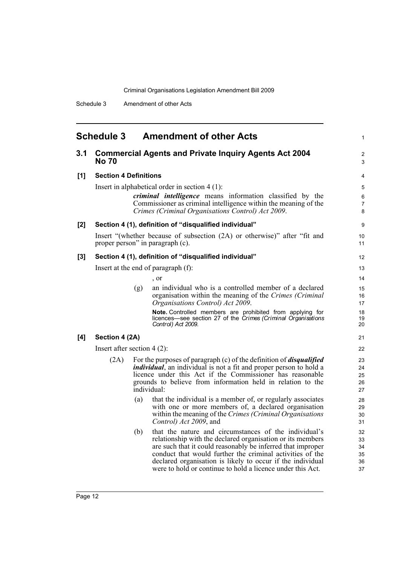Schedule 3 Amendment of other Acts

<span id="page-17-0"></span>

|       | <b>Schedule 3</b>             |     | <b>Amendment of other Acts</b>                                                                                                                                                                                                                                                                                                                                              | 1                                |  |  |
|-------|-------------------------------|-----|-----------------------------------------------------------------------------------------------------------------------------------------------------------------------------------------------------------------------------------------------------------------------------------------------------------------------------------------------------------------------------|----------------------------------|--|--|
| 3.1   | <b>No 70</b>                  |     | <b>Commercial Agents and Private Inquiry Agents Act 2004</b>                                                                                                                                                                                                                                                                                                                | $\overline{c}$<br>3              |  |  |
| [1]   | <b>Section 4 Definitions</b>  |     |                                                                                                                                                                                                                                                                                                                                                                             |                                  |  |  |
|       |                               |     | Insert in alphabetical order in section $4(1)$ :<br><i>criminal intelligence</i> means information classified by the<br>Commissioner as criminal intelligence within the meaning of the<br>Crimes (Criminal Organisations Control) Act 2009.                                                                                                                                | 5<br>6<br>$\overline{7}$<br>8    |  |  |
| $[2]$ |                               |     | Section 4 (1), definition of "disqualified individual"                                                                                                                                                                                                                                                                                                                      | 9                                |  |  |
|       |                               |     | Insert "(whether because of subsection (2A) or otherwise)" after "fit and<br>proper person" in paragraph (c).                                                                                                                                                                                                                                                               | 10<br>11                         |  |  |
| $[3]$ |                               |     | Section 4 (1), definition of "disqualified individual"                                                                                                                                                                                                                                                                                                                      | $12 \overline{ }$                |  |  |
|       |                               |     | Insert at the end of paragraph (f):                                                                                                                                                                                                                                                                                                                                         | 13                               |  |  |
|       |                               |     | , or                                                                                                                                                                                                                                                                                                                                                                        | 14                               |  |  |
|       |                               | (g) | an individual who is a controlled member of a declared<br>organisation within the meaning of the Crimes (Criminal<br>Organisations Control) Act 2009.                                                                                                                                                                                                                       | 15<br>16<br>17                   |  |  |
|       |                               |     | Note. Controlled members are prohibited from applying for<br>licences—see section 27 of the Crimes (Criminal Organisations<br>Control) Act 2009.                                                                                                                                                                                                                            | 18<br>19<br>20                   |  |  |
| [4]   | Section 4 (2A)                |     |                                                                                                                                                                                                                                                                                                                                                                             | 21                               |  |  |
|       | Insert after section $4(2)$ : |     |                                                                                                                                                                                                                                                                                                                                                                             | 22                               |  |  |
|       | (2A)                          |     | For the purposes of paragraph $(c)$ of the definition of <i>disqualified</i><br><i>individual</i> , an individual is not a fit and proper person to hold a<br>licence under this Act if the Commissioner has reasonable<br>grounds to believe from information held in relation to the<br>individual:                                                                       | 23<br>24<br>25<br>26<br>27       |  |  |
|       |                               | (a) | that the individual is a member of, or regularly associates<br>with one or more members of, a declared organisation<br>within the meaning of the Crimes (Criminal Organisations<br>Control) Act 2009, and                                                                                                                                                                   | 28<br>29<br>30<br>31             |  |  |
|       |                               | (b) | that the nature and circumstances of the individual's<br>relationship with the declared organisation or its members<br>are such that it could reasonably be inferred that improper<br>conduct that would further the criminal activities of the<br>declared organisation is likely to occur if the individual<br>were to hold or continue to hold a licence under this Act. | 32<br>33<br>34<br>35<br>36<br>37 |  |  |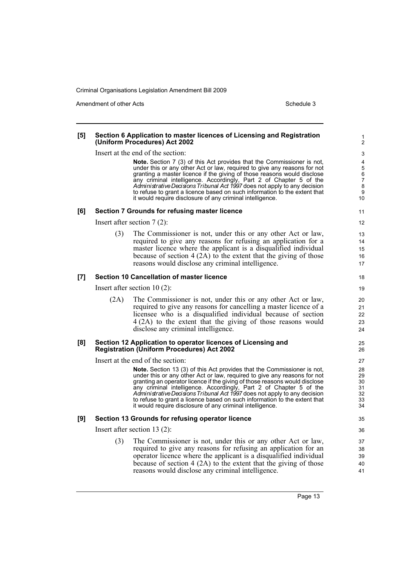Amendment of other Acts **Schedule 3** and the 3 schedule 3

## **[5] Section 6 Application to master licences of Licensing and Registration (Uniform Procedures) Act 2002**

Insert at the end of the section:

**Note.** Section 7 (3) of this Act provides that the Commissioner is not, under this or any other Act or law, required to give any reasons for not granting a master licence if the giving of those reasons would disclose any criminal intelligence. Accordingly, Part 2 of Chapter 5 of the *Administrative Decisions Tribunal Act 1997* does not apply to any decision to refuse to grant a licence based on such information to the extent that it would require disclosure of any criminal intelligence.

#### **[6] Section 7 Grounds for refusing master licence**

Insert after section 7 (2):

(3) The Commissioner is not, under this or any other Act or law, required to give any reasons for refusing an application for a master licence where the applicant is a disqualified individual because of section 4 (2A) to the extent that the giving of those reasons would disclose any criminal intelligence.

#### **[7] Section 10 Cancellation of master licence**

Insert after section 10 (2):

(2A) The Commissioner is not, under this or any other Act or law, required to give any reasons for cancelling a master licence of a licensee who is a disqualified individual because of section 4 (2A) to the extent that the giving of those reasons would disclose any criminal intelligence.

#### **[8] Section 12 Application to operator licences of Licensing and Registration (Uniform Procedures) Act 2002**

Insert at the end of the section:

**Note.** Section 13 (3) of this Act provides that the Commissioner is not, under this or any other Act or law, required to give any reasons for not granting an operator licence if the giving of those reasons would disclose any criminal intelligence. Accordingly, Part 2 of Chapter 5 of the *Administrative Decisions Tribunal Act 1997* does not apply to any decision to refuse to grant a licence based on such information to the extent that it would require disclosure of any criminal intelligence.

#### **[9] Section 13 Grounds for refusing operator licence**

Insert after section 13 (2):

(3) The Commissioner is not, under this or any other Act or law, required to give any reasons for refusing an application for an operator licence where the applicant is a disqualified individual because of section 4 (2A) to the extent that the giving of those reasons would disclose any criminal intelligence.

Page 13

32 33 34

35 36 37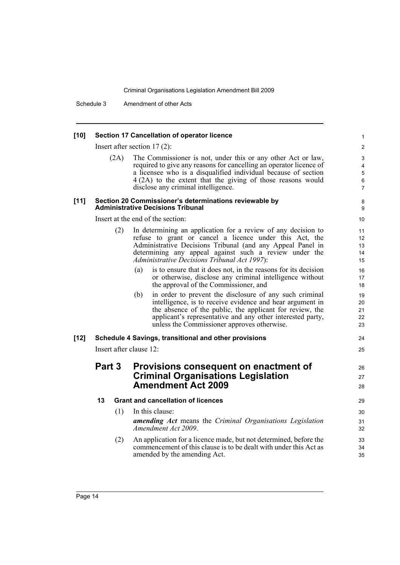Schedule 3 Amendment of other Acts

#### **[10] Section 17 Cancellation of operator licence**

Insert after section 17 (2):

| (2A) | The Commissioner is not, under this or any other Act or law,       |
|------|--------------------------------------------------------------------|
|      | required to give any reasons for cancelling an operator licence of |
|      | a licensee who is a disqualified individual because of section     |
|      | $4(2A)$ to the extent that the giving of those reasons would       |
|      | disclose any criminal intelligence.                                |

8 9

#### **[11] Section 20 Commissioner's determinations reviewable by Administrative Decisions Tribunal**

Insert at the end of the section

|      |        |     | Insert at the end of the section:                                                                                                                                                                                                                                                                    | 10                         |
|------|--------|-----|------------------------------------------------------------------------------------------------------------------------------------------------------------------------------------------------------------------------------------------------------------------------------------------------------|----------------------------|
|      |        | (2) | In determining an application for a review of any decision to<br>refuse to grant or cancel a licence under this Act, the<br>Administrative Decisions Tribunal (and any Appeal Panel in<br>determining any appeal against such a review under the<br>Administrative Decisions Tribunal Act 1997):     | 11<br>12<br>13<br>14<br>15 |
|      |        |     | is to ensure that it does not, in the reasons for its decision<br>(a)<br>or otherwise, disclose any criminal intelligence without<br>the approval of the Commissioner, and                                                                                                                           | 16<br>17<br>18             |
|      |        |     | in order to prevent the disclosure of any such criminal<br>(b)<br>intelligence, is to receive evidence and hear argument in<br>the absence of the public, the applicant for review, the<br>applicant's representative and any other interested party,<br>unless the Commissioner approves otherwise. | 19<br>20<br>21<br>22<br>23 |
|      |        |     |                                                                                                                                                                                                                                                                                                      |                            |
| [12] |        |     | Schedule 4 Savings, transitional and other provisions                                                                                                                                                                                                                                                | 24                         |
|      |        |     | Insert after clause 12:                                                                                                                                                                                                                                                                              | 25                         |
|      | Part 3 |     | Provisions consequent on enactment of<br><b>Criminal Organisations Legislation</b><br><b>Amendment Act 2009</b>                                                                                                                                                                                      | 26<br>27<br>28             |
|      | 13     |     | <b>Grant and cancellation of licences</b>                                                                                                                                                                                                                                                            | 29                         |
|      |        | (1) | In this clause:<br><b>amending Act</b> means the Criminal Organisations Legislation<br>Amendment Act 2009.                                                                                                                                                                                           | 30<br>31<br>32             |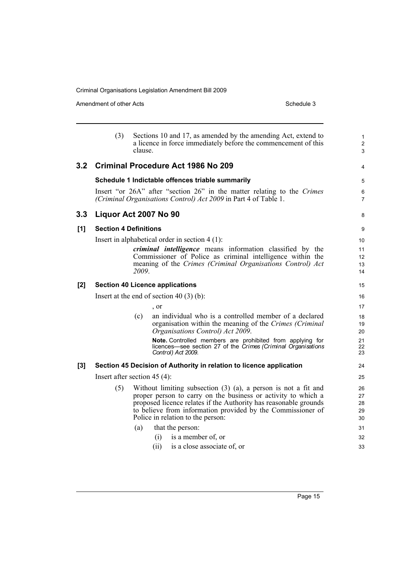|     | (3) | Sections 10 and 17, as amended by the amending Act, extend to<br>a licence in force immediately before the commencement of this<br>clause.                                                                                                                                                                   | $\mathbf{1}$<br>$\overline{c}$<br>3 |
|-----|-----|--------------------------------------------------------------------------------------------------------------------------------------------------------------------------------------------------------------------------------------------------------------------------------------------------------------|-------------------------------------|
| 3.2 |     | <b>Criminal Procedure Act 1986 No 209</b>                                                                                                                                                                                                                                                                    | 4                                   |
|     |     | Schedule 1 Indictable offences triable summarily                                                                                                                                                                                                                                                             | 5                                   |
|     |     | Insert "or 26A" after "section 26" in the matter relating to the Crimes<br>(Criminal Organisations Control) Act 2009 in Part 4 of Table 1.                                                                                                                                                                   | 6<br>$\overline{7}$                 |
| 3.3 |     | Liquor Act 2007 No 90                                                                                                                                                                                                                                                                                        | 8                                   |
| [1] |     | <b>Section 4 Definitions</b>                                                                                                                                                                                                                                                                                 | 9                                   |
|     |     | Insert in alphabetical order in section $4(1)$ :                                                                                                                                                                                                                                                             | 10                                  |
|     |     | <i>criminal intelligence</i> means information classified by the<br>Commissioner of Police as criminal intelligence within the<br>meaning of the Crimes (Criminal Organisations Control) Act<br>2009.                                                                                                        | 11<br>12<br>13<br>14                |
| [2] |     | <b>Section 40 Licence applications</b>                                                                                                                                                                                                                                                                       | 15                                  |
|     |     | Insert at the end of section 40 $(3)$ (b):                                                                                                                                                                                                                                                                   | 16                                  |
|     |     | , or                                                                                                                                                                                                                                                                                                         | 17                                  |
|     |     | an individual who is a controlled member of a declared<br>(c)<br>organisation within the meaning of the Crimes (Criminal<br>Organisations Control) Act 2009.                                                                                                                                                 | 18<br>19<br>20                      |
|     |     | Note. Controlled members are prohibited from applying for<br>licences—see section 27 of the Crimes (Criminal Organisations<br>Control) Act 2009.                                                                                                                                                             | 21<br>22<br>23                      |
| [3] |     | Section 45 Decision of Authority in relation to licence application                                                                                                                                                                                                                                          | 24                                  |
|     |     | Insert after section $45(4)$ :                                                                                                                                                                                                                                                                               | 25                                  |
|     | (5) | Without limiting subsection $(3)$ $(a)$ , a person is not a fit and<br>proper person to carry on the business or activity to which a<br>proposed licence relates if the Authority has reasonable grounds<br>to believe from information provided by the Commissioner of<br>Police in relation to the person: | 26<br>27<br>28<br>29<br>30          |
|     |     | that the person:<br>(a)                                                                                                                                                                                                                                                                                      | 31                                  |
|     |     | is a member of, or<br>(i)                                                                                                                                                                                                                                                                                    | 32                                  |
|     |     | (ii)<br>is a close associate of, or                                                                                                                                                                                                                                                                          | 33                                  |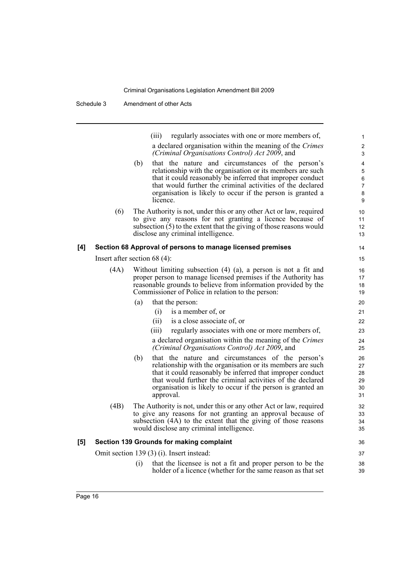(iii) regularly associates with one or more members of, a declared organisation within the meaning of the *Crimes (Criminal Organisations Control) Act 2009*, and (b) that the nature and circumstances of the person's relationship with the organisation or its members are such that it could reasonably be inferred that improper conduct that would further the criminal activities of the declared organisation is likely to occur if the person is granted a licence. (6) The Authority is not, under this or any other Act or law, required to give any reasons for not granting a licence because of subsection (5) to the extent that the giving of those reasons would disclose any criminal intelligence. **[4] Section 68 Approval of persons to manage licensed premises** Insert after section 68 (4): (4A) Without limiting subsection (4) (a), a person is not a fit and proper person to manage licensed premises if the Authority has reasonable grounds to believe from information provided by the Commissioner of Police in relation to the person: (a) that the person: (i) is a member of, or (ii) is a close associate of, or (iii) regularly associates with one or more members of, a declared organisation within the meaning of the *Crimes (Criminal Organisations Control) Act 2009*, and (b) that the nature and circumstances of the person's relationship with the organisation or its members are such that it could reasonably be inferred that improper conduct that would further the criminal activities of the declared organisation is likely to occur if the person is granted an approval. (4B) The Authority is not, under this or any other Act or law, required to give any reasons for not granting an approval because of subsection (4A) to the extent that the giving of those reasons would disclose any criminal intelligence. **[5] Section 139 Grounds for making complaint** Omit section 139 (3) (i). Insert instead: (i) that the licensee is not a fit and proper person to be the holder of a licence (whether for the same reason as that set 1 2 3  $\lambda$ 5 6 7 8 9  $10$ 11 12 13 14 15 16 17 18 19  $20$ 21 22 23 24 25 26 27 28 29 30 31 32 33 34 35 36 37 38 39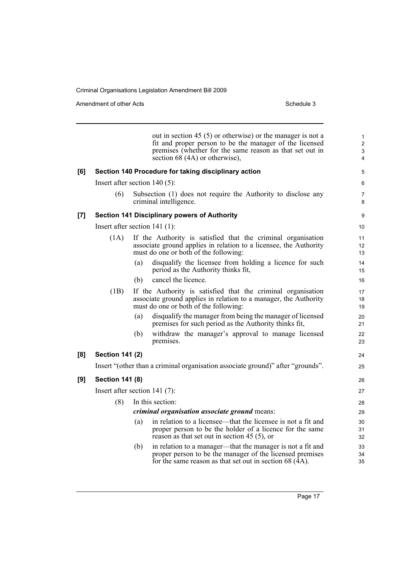|     |                                 |     | out in section 45 $(5)$ or otherwise) or the manager is not a<br>fit and proper person to be the manager of the licensed<br>premises (whether for the same reason as that set out in<br>section 68 (4A) or otherwise), | $\mathbf{1}$<br>$\overline{2}$<br>3<br>4 |
|-----|---------------------------------|-----|------------------------------------------------------------------------------------------------------------------------------------------------------------------------------------------------------------------------|------------------------------------------|
| [6] |                                 |     | Section 140 Procedure for taking disciplinary action                                                                                                                                                                   | 5                                        |
|     | Insert after section $140(5)$ : |     |                                                                                                                                                                                                                        | 6                                        |
|     | (6)                             |     | Subsection (1) does not require the Authority to disclose any<br>criminal intelligence.                                                                                                                                | 7<br>8                                   |
| [7] |                                 |     | <b>Section 141 Disciplinary powers of Authority</b>                                                                                                                                                                    | 9                                        |
|     | Insert after section 141 (1):   |     |                                                                                                                                                                                                                        | 10                                       |
|     | (1A)                            |     | If the Authority is satisfied that the criminal organisation<br>associate ground applies in relation to a licensee, the Authority<br>must do one or both of the following:                                             | 11<br>12<br>13                           |
|     |                                 | (a) | disqualify the licensee from holding a licence for such<br>period as the Authority thinks fit,                                                                                                                         | 14<br>15                                 |
|     |                                 | (b) | cancel the licence.                                                                                                                                                                                                    | 16                                       |
|     | (1B)                            |     | If the Authority is satisfied that the criminal organisation<br>associate ground applies in relation to a manager, the Authority<br>must do one or both of the following:                                              | 17<br>18<br>19                           |
|     |                                 | (a) | disqualify the manager from being the manager of licensed<br>premises for such period as the Authority thinks fit,                                                                                                     | 20<br>21                                 |
|     |                                 | (b) | withdraw the manager's approval to manage licensed<br>premises.                                                                                                                                                        | 22<br>23                                 |
| [8] | <b>Section 141 (2)</b>          |     |                                                                                                                                                                                                                        | 24                                       |
|     |                                 |     | Insert "(other than a criminal organisation associate ground)" after "grounds".                                                                                                                                        | 25                                       |
| [9] | <b>Section 141 (8)</b>          |     |                                                                                                                                                                                                                        | 26                                       |
|     | Insert after section $141(7)$ : |     |                                                                                                                                                                                                                        | 27                                       |
|     | (8)                             |     | In this section:                                                                                                                                                                                                       | 28                                       |
|     |                                 |     | criminal organisation associate ground means:                                                                                                                                                                          | 29                                       |
|     |                                 | (a) | in relation to a licensee—that the licensee is not a fit and<br>proper person to be the holder of a licence for the same<br>reason as that set out in section 45 $(5)$ , or                                            | 30<br>31<br>32                           |
|     |                                 | (b) | in relation to a manager—that the manager is not a fit and<br>proper person to be the manager of the licensed premises<br>for the same reason as that set out in section $68$ (4A).                                    | 33<br>34<br>35                           |
|     |                                 |     |                                                                                                                                                                                                                        |                                          |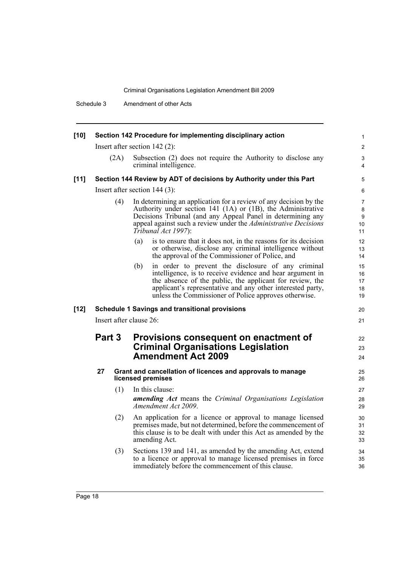Schedule 3 Amendment of other Acts

| $[10]$ | Section 142 Procedure for implementing disciplinary action                                      |     |                                                                                                                                                                                                                                                                                                           |                                      |  |  |
|--------|-------------------------------------------------------------------------------------------------|-----|-----------------------------------------------------------------------------------------------------------------------------------------------------------------------------------------------------------------------------------------------------------------------------------------------------------|--------------------------------------|--|--|
|        |                                                                                                 |     | Insert after section $142(2)$ :                                                                                                                                                                                                                                                                           | $\overline{2}$                       |  |  |
|        | Subsection (2) does not require the Authority to disclose any<br>(2A)<br>criminal intelligence. |     |                                                                                                                                                                                                                                                                                                           |                                      |  |  |
| [11]   |                                                                                                 |     | Section 144 Review by ADT of decisions by Authority under this Part                                                                                                                                                                                                                                       | 5                                    |  |  |
|        |                                                                                                 |     | Insert after section $144$ (3):                                                                                                                                                                                                                                                                           | 6                                    |  |  |
|        |                                                                                                 | (4) | In determining an application for a review of any decision by the<br>Authority under section 141 (1A) or (1B), the Administrative<br>Decisions Tribunal (and any Appeal Panel in determining any<br>appeal against such a review under the <i>Administrative Decisions</i><br>Tribunal Act 1997):         | $\overline{7}$<br>8<br>9<br>10<br>11 |  |  |
|        |                                                                                                 |     | is to ensure that it does not, in the reasons for its decision<br>(a)<br>or otherwise, disclose any criminal intelligence without<br>the approval of the Commissioner of Police, and                                                                                                                      | 12<br>13<br>14                       |  |  |
|        |                                                                                                 |     | in order to prevent the disclosure of any criminal<br>(b)<br>intelligence, is to receive evidence and hear argument in<br>the absence of the public, the applicant for review, the<br>applicant's representative and any other interested party,<br>unless the Commissioner of Police approves otherwise. | 15<br>16<br>17<br>18<br>19           |  |  |
| $[12]$ |                                                                                                 |     | <b>Schedule 1 Savings and transitional provisions</b>                                                                                                                                                                                                                                                     | 20                                   |  |  |
|        |                                                                                                 |     | Insert after clause 26:                                                                                                                                                                                                                                                                                   | 21                                   |  |  |
|        | Part 3                                                                                          |     | Provisions consequent on enactment of<br><b>Criminal Organisations Legislation</b><br><b>Amendment Act 2009</b>                                                                                                                                                                                           | 22<br>23<br>24                       |  |  |
|        | 27                                                                                              |     | Grant and cancellation of licences and approvals to manage<br>licensed premises                                                                                                                                                                                                                           | 25<br>26                             |  |  |
|        |                                                                                                 | (1) | In this clause:                                                                                                                                                                                                                                                                                           | 27                                   |  |  |
|        |                                                                                                 |     | <b>amending Act</b> means the Criminal Organisations Legislation<br>Amendment Act 2009.                                                                                                                                                                                                                   | 28<br>29                             |  |  |
|        |                                                                                                 | (2) | An application for a licence or approval to manage licensed<br>premises made, but not determined, before the commencement of<br>this clause is to be dealt with under this Act as amended by the<br>amending Act.                                                                                         | 30<br>31<br>32<br>33                 |  |  |
|        |                                                                                                 |     |                                                                                                                                                                                                                                                                                                           |                                      |  |  |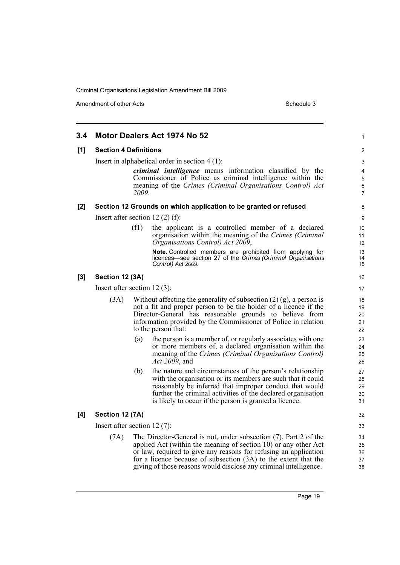| 3.4 |                                       | Motor Dealers Act 1974 No 52                                                                                                                                                                                                                                                                                                                      | 1                                 |
|-----|---------------------------------------|---------------------------------------------------------------------------------------------------------------------------------------------------------------------------------------------------------------------------------------------------------------------------------------------------------------------------------------------------|-----------------------------------|
| [1] | <b>Section 4 Definitions</b>          |                                                                                                                                                                                                                                                                                                                                                   | 2                                 |
|     |                                       | Insert in alphabetical order in section $4(1)$ :                                                                                                                                                                                                                                                                                                  | 3                                 |
|     |                                       | <i>criminal intelligence</i> means information classified by the<br>Commissioner of Police as criminal intelligence within the<br>meaning of the Crimes (Criminal Organisations Control) Act<br>2009.                                                                                                                                             | 4<br>5<br>$\,6$<br>$\overline{7}$ |
| [2] |                                       | Section 12 Grounds on which application to be granted or refused                                                                                                                                                                                                                                                                                  | 8                                 |
|     | Insert after section 12 $(2)$ $(f)$ : |                                                                                                                                                                                                                                                                                                                                                   | 9                                 |
|     | (f1)                                  | the applicant is a controlled member of a declared<br>organisation within the meaning of the Crimes (Criminal<br>Organisations Control) Act 2009,                                                                                                                                                                                                 | 10<br>11<br>12                    |
|     |                                       | Note. Controlled members are prohibited from applying for<br>licences—see section 27 of the Crimes (Criminal Organisations<br>Control) Act 2009.                                                                                                                                                                                                  | 13<br>14<br>15                    |
| [3] | Section 12 (3A)                       |                                                                                                                                                                                                                                                                                                                                                   | 16                                |
|     | Insert after section 12 $(3)$ :       |                                                                                                                                                                                                                                                                                                                                                   | 17                                |
|     | (3A)                                  | Without affecting the generality of subsection $(2)$ (g), a person is<br>not a fit and proper person to be the holder of a licence if the<br>Director-General has reasonable grounds to believe from<br>information provided by the Commissioner of Police in relation<br>to the person that:                                                     | 18<br>19<br>20<br>21<br>22        |
|     | (a)                                   | the person is a member of, or regularly associates with one<br>or more members of, a declared organisation within the<br>meaning of the Crimes (Criminal Organisations Control)<br>Act 2009, and                                                                                                                                                  | 23<br>24<br>25<br>26              |
|     | (b)                                   | the nature and circumstances of the person's relationship<br>with the organisation or its members are such that it could<br>reasonably be inferred that improper conduct that would<br>further the criminal activities of the declared organisation<br>is likely to occur if the person is granted a licence.                                     | 27<br>28<br>29<br>30<br>31        |
| [4] | Section 12 (7A)                       |                                                                                                                                                                                                                                                                                                                                                   | 32                                |
|     | Insert after section 12 $(7)$ :       |                                                                                                                                                                                                                                                                                                                                                   | 33                                |
|     | (7A)                                  | The Director-General is not, under subsection (7), Part 2 of the<br>applied Act (within the meaning of section 10) or any other Act<br>or law, required to give any reasons for refusing an application<br>for a licence because of subsection $(3A)$ to the extent that the<br>giving of those reasons would disclose any criminal intelligence. | 34<br>35<br>36<br>37<br>38        |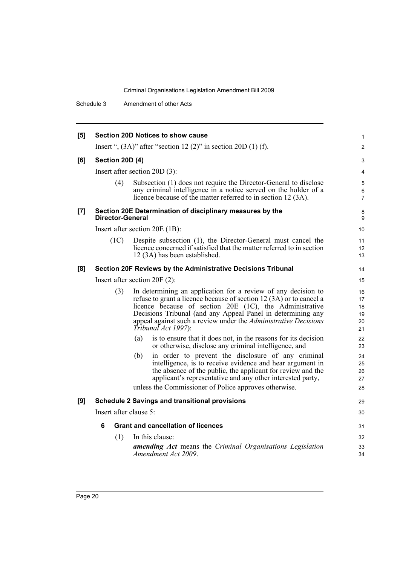Schedule 3 Amendment of other Acts

| [5] |                        | <b>Section 20D Notices to show cause</b>                                                                                                                                                                                                                                                                                                                        | 1                                |
|-----|------------------------|-----------------------------------------------------------------------------------------------------------------------------------------------------------------------------------------------------------------------------------------------------------------------------------------------------------------------------------------------------------------|----------------------------------|
|     |                        | Insert ", $(3A)$ " after "section 12 $(2)$ " in section 20D $(1)$ $(f)$ .                                                                                                                                                                                                                                                                                       | $\overline{c}$                   |
| [6] | <b>Section 20D (4)</b> |                                                                                                                                                                                                                                                                                                                                                                 | 3                                |
|     |                        | Insert after section $20D(3)$ :                                                                                                                                                                                                                                                                                                                                 | 4                                |
|     | (4)                    | Subsection (1) does not require the Director-General to disclose<br>any criminal intelligence in a notice served on the holder of a<br>licence because of the matter referred to in section 12 (3A).                                                                                                                                                            | 5<br>6<br>7                      |
| [7] | Director-General       | Section 20E Determination of disciplinary measures by the                                                                                                                                                                                                                                                                                                       | 8<br>9                           |
|     |                        | Insert after section 20E (1B):                                                                                                                                                                                                                                                                                                                                  | 10                               |
|     | (1C)                   | Despite subsection (1), the Director-General must cancel the<br>licence concerned if satisfied that the matter referred to in section<br>12 (3A) has been established.                                                                                                                                                                                          | 11<br>12<br>13                   |
| [8] |                        | Section 20F Reviews by the Administrative Decisions Tribunal                                                                                                                                                                                                                                                                                                    | 14                               |
|     |                        | Insert after section $20F(2)$ :                                                                                                                                                                                                                                                                                                                                 | 15                               |
|     | (3)                    | In determining an application for a review of any decision to<br>refuse to grant a licence because of section 12 (3A) or to cancel a<br>licence because of section 20E (1C), the Administrative<br>Decisions Tribunal (and any Appeal Panel in determining any<br>appeal against such a review under the <i>Administrative Decisions</i><br>Tribunal Act 1997): | 16<br>17<br>18<br>19<br>20<br>21 |
|     |                        | (a)<br>is to ensure that it does not, in the reasons for its decision<br>or otherwise, disclose any criminal intelligence, and                                                                                                                                                                                                                                  | 22<br>23                         |
|     |                        | (b)<br>in order to prevent the disclosure of any criminal<br>intelligence, is to receive evidence and hear argument in<br>the absence of the public, the applicant for review and the<br>applicant's representative and any other interested party,<br>unless the Commissioner of Police approves otherwise.                                                    | 24<br>25<br>26<br>27<br>28       |
| [9] |                        | <b>Schedule 2 Savings and transitional provisions</b>                                                                                                                                                                                                                                                                                                           | 29                               |
|     | Insert after clause 5: |                                                                                                                                                                                                                                                                                                                                                                 | 30                               |
|     | 6                      | <b>Grant and cancellation of licences</b>                                                                                                                                                                                                                                                                                                                       | 31                               |
|     | (1)                    | In this clause:                                                                                                                                                                                                                                                                                                                                                 | 32                               |
|     |                        | amending Act means the Criminal Organisations Legislation<br>Amendment Act 2009.                                                                                                                                                                                                                                                                                | 33<br>34                         |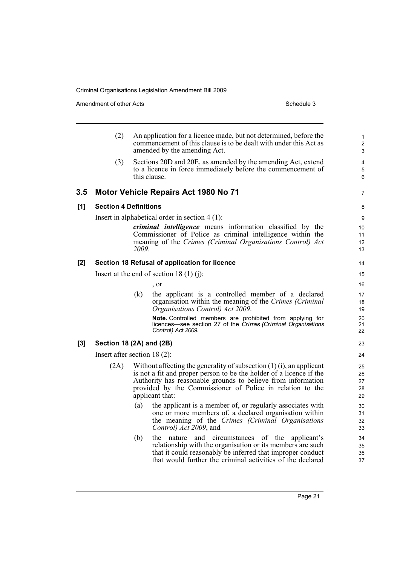|       | (2)                            |              | An application for a licence made, but not determined, before the<br>commencement of this clause is to be dealt with under this Act as<br>amended by the amending Act.                                                                                                                        | 1<br>$\overline{2}$<br>3   |
|-------|--------------------------------|--------------|-----------------------------------------------------------------------------------------------------------------------------------------------------------------------------------------------------------------------------------------------------------------------------------------------|----------------------------|
|       | (3)                            | this clause. | Sections 20D and 20E, as amended by the amending Act, extend<br>to a licence in force immediately before the commencement of                                                                                                                                                                  | 4<br>5<br>6                |
| 3.5   |                                |              | <b>Motor Vehicle Repairs Act 1980 No 71</b>                                                                                                                                                                                                                                                   | 7                          |
| [1]   | <b>Section 4 Definitions</b>   |              |                                                                                                                                                                                                                                                                                               | 8                          |
|       |                                |              | Insert in alphabetical order in section $4(1)$ :                                                                                                                                                                                                                                              | 9                          |
|       |                                | 2009.        | <i>criminal intelligence</i> means information classified by the<br>Commissioner of Police as criminal intelligence within the<br>meaning of the Crimes (Criminal Organisations Control) Act                                                                                                  | 10<br>11<br>12<br>13       |
| $[2]$ |                                |              | Section 18 Refusal of application for licence                                                                                                                                                                                                                                                 | 14                         |
|       |                                |              | Insert at the end of section 18 $(1)$ (j):                                                                                                                                                                                                                                                    | 15                         |
|       |                                |              | , or                                                                                                                                                                                                                                                                                          | 16                         |
|       |                                | (k)          | the applicant is a controlled member of a declared<br>organisation within the meaning of the Crimes (Criminal<br>Organisations Control) Act 2009.                                                                                                                                             | 17<br>18<br>19             |
|       |                                |              | Note. Controlled members are prohibited from applying for<br>licences—see section 27 of the Crimes (Criminal Organisations<br>Control) Act 2009.                                                                                                                                              | 20<br>21<br>22             |
| $[3]$ | Section 18 (2A) and (2B)       |              |                                                                                                                                                                                                                                                                                               | 23                         |
|       | Insert after section $18(2)$ : |              |                                                                                                                                                                                                                                                                                               | 24                         |
|       | (2A)                           |              | Without affecting the generality of subsection $(1)(i)$ , an applicant<br>is not a fit and proper person to be the holder of a licence if the<br>Authority has reasonable grounds to believe from information<br>provided by the Commissioner of Police in relation to the<br>applicant that: | 25<br>26<br>27<br>28<br>29 |
|       |                                | (a)          | the applicant is a member of, or regularly associates with<br>one or more members of, a declared organisation within<br>the meaning of the Crimes (Criminal Organisations<br>Control) Act 2009, and                                                                                           | 30<br>31<br>32<br>33       |
|       |                                | (b)          | the nature and circumstances of the<br>applicant's<br>relationship with the organisation or its members are such<br>that it could reasonably be inferred that improper conduct<br>that would further the criminal activities of the declared                                                  | 34<br>35<br>36<br>37       |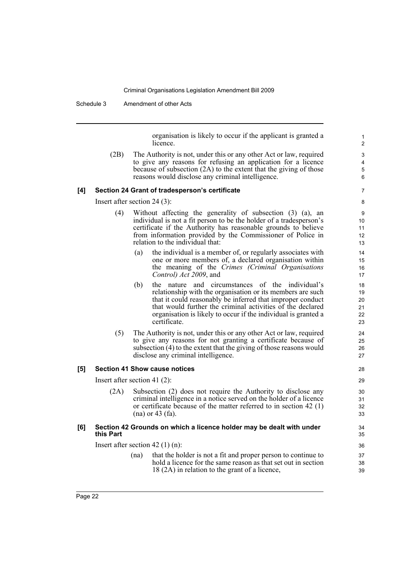Schedule 3 Amendment of other Acts

organisation is likely to occur if the applicant is granted a licence.

(2B) The Authority is not, under this or any other Act or law, required to give any reasons for refusing an application for a licence because of subsection (2A) to the extent that the giving of those reasons would disclose any criminal intelligence.

#### **[4] Section 24 Grant of tradesperson's certificate**

Insert after section 24 (3):

- (4) Without affecting the generality of subsection (3) (a), an individual is not a fit person to be the holder of a tradesperson's certificate if the Authority has reasonable grounds to believe from information provided by the Commissioner of Police in relation to the individual that:
	- (a) the individual is a member of, or regularly associates with one or more members of, a declared organisation within the meaning of the *Crimes (Criminal Organisations Control) Act 2009*, and
	- (b) the nature and circumstances of the individual's relationship with the organisation or its members are such that it could reasonably be inferred that improper conduct that would further the criminal activities of the declared organisation is likely to occur if the individual is granted a certificate.
- (5) The Authority is not, under this or any other Act or law, required to give any reasons for not granting a certificate because of subsection (4) to the extent that the giving of those reasons would disclose any criminal intelligence.

#### **[5] Section 41 Show cause notices**

Insert after section 41 (2):

(2A) Subsection (2) does not require the Authority to disclose any criminal intelligence in a notice served on the holder of a licence or certificate because of the matter referred to in section 42 (1) (na) or 43 (fa).

#### **[6] Section 42 Grounds on which a licence holder may be dealt with under this Part**

Insert after section 42 (1) (n):

(na) that the holder is not a fit and proper person to continue to hold a licence for the same reason as that set out in section 18 (2A) in relation to the grant of a licence,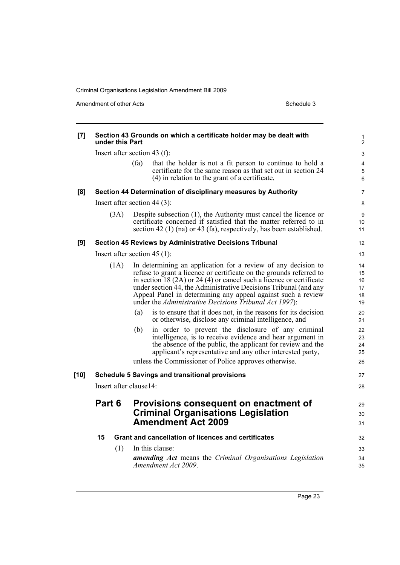| [7]    | under this Part         | Section 43 Grounds on which a certificate holder may be dealt with                                                                                                                                                                                                                                                                                                                                           | 1<br>$\overline{c}$              |
|--------|-------------------------|--------------------------------------------------------------------------------------------------------------------------------------------------------------------------------------------------------------------------------------------------------------------------------------------------------------------------------------------------------------------------------------------------------------|----------------------------------|
|        |                         | Insert after section 43 (f):                                                                                                                                                                                                                                                                                                                                                                                 | 3                                |
|        |                         | (fa)<br>that the holder is not a fit person to continue to hold a<br>certificate for the same reason as that set out in section 24<br>(4) in relation to the grant of a certificate,                                                                                                                                                                                                                         | 4<br>5<br>6                      |
| [8]    |                         | Section 44 Determination of disciplinary measures by Authority                                                                                                                                                                                                                                                                                                                                               | 7                                |
|        |                         | Insert after section $44(3)$ :                                                                                                                                                                                                                                                                                                                                                                               | 8                                |
|        | (3A)                    | Despite subsection (1), the Authority must cancel the licence or<br>certificate concerned if satisfied that the matter referred to in<br>section 42 (1) (na) or 43 (fa), respectively, has been established.                                                                                                                                                                                                 | 9<br>10<br>11                    |
| [9]    |                         | <b>Section 45 Reviews by Administrative Decisions Tribunal</b>                                                                                                                                                                                                                                                                                                                                               | 12                               |
|        |                         | Insert after section $45(1)$ :                                                                                                                                                                                                                                                                                                                                                                               | 13                               |
|        | (1A)                    | In determining an application for a review of any decision to<br>refuse to grant a licence or certificate on the grounds referred to<br>in section $18(2A)$ or $24(4)$ or cancel such a licence or certificate<br>under section 44, the Administrative Decisions Tribunal (and any<br>Appeal Panel in determining any appeal against such a review<br>under the Administrative Decisions Tribunal Act 1997): | 14<br>15<br>16<br>17<br>18<br>19 |
|        |                         | is to ensure that it does not, in the reasons for its decision<br>(a)<br>or otherwise, disclose any criminal intelligence, and                                                                                                                                                                                                                                                                               | 20<br>21                         |
|        |                         | in order to prevent the disclosure of any criminal<br>(b)<br>intelligence, is to receive evidence and hear argument in<br>the absence of the public, the applicant for review and the<br>applicant's representative and any other interested party,<br>unless the Commissioner of Police approves otherwise.                                                                                                 | 22<br>23<br>24<br>25<br>26       |
| $[10]$ |                         | <b>Schedule 5 Savings and transitional provisions</b>                                                                                                                                                                                                                                                                                                                                                        | 27                               |
|        | Insert after clause 14: |                                                                                                                                                                                                                                                                                                                                                                                                              | 28                               |
|        | Part 6                  | Provisions consequent on enactment of<br><b>Criminal Organisations Legislation</b><br><b>Amendment Act 2009</b>                                                                                                                                                                                                                                                                                              | 29<br>30<br>31                   |
|        | 15                      | Grant and cancellation of licences and certificates                                                                                                                                                                                                                                                                                                                                                          | 32                               |
|        | (1)                     | In this clause:                                                                                                                                                                                                                                                                                                                                                                                              | 33                               |
|        |                         | <b>amending Act</b> means the Criminal Organisations Legislation<br>Amendment Act 2009.                                                                                                                                                                                                                                                                                                                      | 34<br>35                         |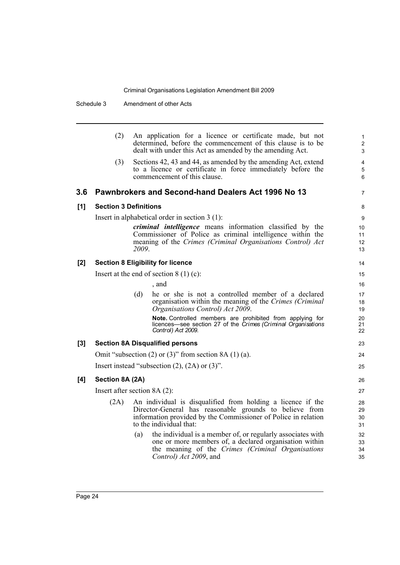Schedule 3 Amendment of other Acts

|       | (2)                          | An application for a licence or certificate made, but not<br>determined, before the commencement of this clause is to be<br>dealt with under this Act as amended by the amending Act.                               | $\mathbf{1}$<br>$\overline{2}$<br>3 |
|-------|------------------------------|---------------------------------------------------------------------------------------------------------------------------------------------------------------------------------------------------------------------|-------------------------------------|
|       | (3)                          | Sections 42, 43 and 44, as amended by the amending Act, extend<br>to a licence or certificate in force immediately before the<br>commencement of this clause.                                                       | $\overline{4}$<br>5<br>6            |
| 3.6   |                              | Pawnbrokers and Second-hand Dealers Act 1996 No 13                                                                                                                                                                  | $\overline{7}$                      |
| [1]   | <b>Section 3 Definitions</b> |                                                                                                                                                                                                                     | 8                                   |
|       |                              | Insert in alphabetical order in section $3(1)$ :                                                                                                                                                                    | 9                                   |
|       |                              | <i>criminal intelligence</i> means information classified by the                                                                                                                                                    | 10                                  |
|       |                              | Commissioner of Police as criminal intelligence within the<br>meaning of the Crimes (Criminal Organisations Control) Act                                                                                            | 11<br>12                            |
|       |                              | 2009.                                                                                                                                                                                                               | 13                                  |
| [2]   |                              | <b>Section 8 Eligibility for licence</b>                                                                                                                                                                            | 14                                  |
|       |                              | Insert at the end of section $8(1)(c)$ :                                                                                                                                                                            | 15                                  |
|       |                              | , and                                                                                                                                                                                                               | 16                                  |
|       |                              | (d)<br>he or she is not a controlled member of a declared                                                                                                                                                           | 17                                  |
|       |                              | organisation within the meaning of the Crimes (Criminal<br>Organisations Control) Act 2009.                                                                                                                         | 18<br>19                            |
|       |                              | Note. Controlled members are prohibited from applying for<br>licences—see section 27 of the Crimes (Criminal Organisations<br>Control) Act 2009.                                                                    | 20<br>21<br>22                      |
| $[3]$ |                              | <b>Section 8A Disqualified persons</b>                                                                                                                                                                              | 23                                  |
|       |                              | Omit "subsection $(2)$ or $(3)$ " from section 8A $(1)$ $(a)$ .                                                                                                                                                     | 24                                  |
|       |                              | Insert instead "subsection $(2)$ , $(2A)$ or $(3)$ ".                                                                                                                                                               | 25                                  |
| [4]   | Section 8A (2A)              |                                                                                                                                                                                                                     | 26                                  |
|       |                              | Insert after section $8A(2)$ :                                                                                                                                                                                      | 27                                  |
|       | (2A)                         | An individual is disqualified from holding a licence if the<br>Director-General has reasonable grounds to believe from<br>information provided by the Commissioner of Police in relation<br>to the individual that: | 28<br>29<br>30<br>31                |
|       |                              | the individual is a member of, or regularly associates with<br>(a)<br>one or more members of, a declared organisation within<br>the meaning of the Crimes (Criminal Organisations<br>Control) Act 2009, and         | 32<br>33<br>34<br>35                |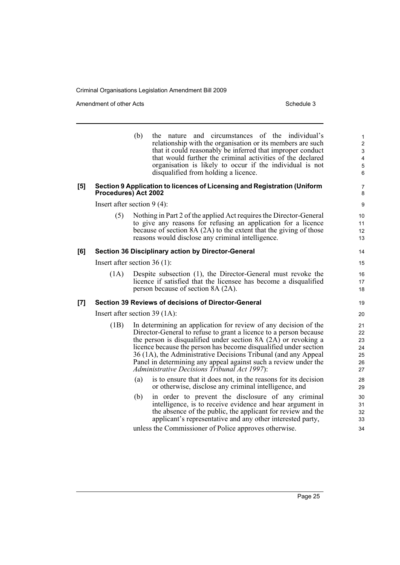|                  |                                 | (b) | the nature and circumstances of the individual's<br>relationship with the organisation or its members are such<br>that it could reasonably be inferred that improper conduct<br>that would further the criminal activities of the declared<br>organisation is likely to occur if the individual is not<br>disqualified from holding a licence.                                                                                                                  | $\mathbf{1}$<br>$\boldsymbol{2}$<br>$\ensuremath{\mathsf{3}}$<br>$\overline{\mathbf{4}}$<br>$\mathbf 5$<br>6 |
|------------------|---------------------------------|-----|-----------------------------------------------------------------------------------------------------------------------------------------------------------------------------------------------------------------------------------------------------------------------------------------------------------------------------------------------------------------------------------------------------------------------------------------------------------------|--------------------------------------------------------------------------------------------------------------|
| $\left[5\right]$ | Procedures) Act 2002            |     | Section 9 Application to licences of Licensing and Registration (Uniform                                                                                                                                                                                                                                                                                                                                                                                        | $\overline{7}$<br>8                                                                                          |
|                  | Insert after section $9(4)$ :   |     |                                                                                                                                                                                                                                                                                                                                                                                                                                                                 | 9                                                                                                            |
|                  | (5)                             |     | Nothing in Part 2 of the applied Act requires the Director-General<br>to give any reasons for refusing an application for a licence<br>because of section 8A (2A) to the extent that the giving of those<br>reasons would disclose any criminal intelligence.                                                                                                                                                                                                   | 10<br>11<br>12<br>13                                                                                         |
| [6]              |                                 |     | <b>Section 36 Disciplinary action by Director-General</b>                                                                                                                                                                                                                                                                                                                                                                                                       | 14                                                                                                           |
|                  | Insert after section $36(1)$ :  |     |                                                                                                                                                                                                                                                                                                                                                                                                                                                                 | 15                                                                                                           |
|                  | (1A)                            |     | Despite subsection (1), the Director-General must revoke the<br>licence if satisfied that the licensee has become a disqualified<br>person because of section 8A (2A).                                                                                                                                                                                                                                                                                          | 16<br>17<br>18                                                                                               |
| [7]              |                                 |     | Section 39 Reviews of decisions of Director-General                                                                                                                                                                                                                                                                                                                                                                                                             | 19                                                                                                           |
|                  | Insert after section $39(1A)$ : |     |                                                                                                                                                                                                                                                                                                                                                                                                                                                                 | 20                                                                                                           |
|                  | (1B)                            |     | In determining an application for review of any decision of the<br>Director-General to refuse to grant a licence to a person because<br>the person is disqualified under section 8A (2A) or revoking a<br>licence because the person has become disqualified under section<br>36 (1A), the Administrative Decisions Tribunal (and any Appeal<br>Panel in determining any appeal against such a review under the<br>Administrative Decisions Tribunal Act 1997): | 21<br>22<br>23<br>24<br>25<br>26<br>27                                                                       |
|                  |                                 | (a) | is to ensure that it does not, in the reasons for its decision<br>or otherwise, disclose any criminal intelligence, and                                                                                                                                                                                                                                                                                                                                         | 28<br>29                                                                                                     |
|                  |                                 | (b) | in order to prevent the disclosure of any criminal<br>intelligence, is to receive evidence and hear argument in<br>the absence of the public, the applicant for review and the<br>applicant's representative and any other interested party,                                                                                                                                                                                                                    | 30<br>31<br>32<br>33                                                                                         |
|                  |                                 |     | unless the Commissioner of Police approves otherwise.                                                                                                                                                                                                                                                                                                                                                                                                           | 34                                                                                                           |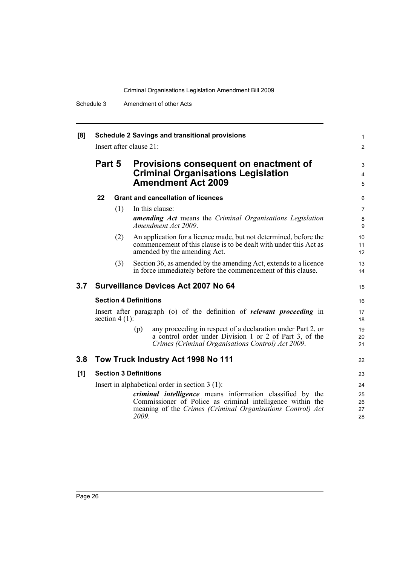| [8] | <b>Schedule 2 Savings and transitional provisions</b><br>Insert after clause 21: |                  |                              |                                                                                                                                                                                                                                                  | $\mathbf{1}$<br>$\overline{2}$ |
|-----|----------------------------------------------------------------------------------|------------------|------------------------------|--------------------------------------------------------------------------------------------------------------------------------------------------------------------------------------------------------------------------------------------------|--------------------------------|
|     | Part 5                                                                           |                  |                              | Provisions consequent on enactment of<br><b>Criminal Organisations Legislation</b><br><b>Amendment Act 2009</b>                                                                                                                                  | 3<br>4<br>5                    |
|     | 22                                                                               |                  |                              | <b>Grant and cancellation of licences</b>                                                                                                                                                                                                        | 6                              |
|     |                                                                                  | (1)              |                              | In this clause:<br><b>amending Act</b> means the Criminal Organisations Legislation<br>Amendment Act 2009.                                                                                                                                       | $\overline{7}$<br>8<br>9       |
|     |                                                                                  | (2)              |                              | An application for a licence made, but not determined, before the<br>commencement of this clause is to be dealt with under this Act as<br>amended by the amending Act.                                                                           | 10<br>11<br>12 <sup>2</sup>    |
|     |                                                                                  | (3)              |                              | Section 36, as amended by the amending Act, extends to a licence<br>in force immediately before the commencement of this clause.                                                                                                                 | 13<br>14                       |
| 3.7 |                                                                                  |                  |                              | <b>Surveillance Devices Act 2007 No 64</b>                                                                                                                                                                                                       | 15                             |
|     |                                                                                  |                  | <b>Section 4 Definitions</b> |                                                                                                                                                                                                                                                  | 16                             |
|     |                                                                                  | section $4(1)$ : |                              | Insert after paragraph (o) of the definition of <i>relevant proceeding</i> in                                                                                                                                                                    | 17<br>18                       |
|     |                                                                                  |                  | (p)                          | any proceeding in respect of a declaration under Part 2, or<br>a control order under Division 1 or 2 of Part 3, of the<br>Crimes (Criminal Organisations Control) Act 2009.                                                                      | 19<br>20<br>21                 |
| 3.8 |                                                                                  |                  |                              | Tow Truck Industry Act 1998 No 111                                                                                                                                                                                                               | 22                             |
| [1] |                                                                                  |                  | <b>Section 3 Definitions</b> |                                                                                                                                                                                                                                                  | 23                             |
|     |                                                                                  |                  | 2009.                        | Insert in alphabetical order in section $3(1)$ :<br><i>criminal intelligence</i> means information classified by the<br>Commissioner of Police as criminal intelligence within the<br>meaning of the Crimes (Criminal Organisations Control) Act | 24<br>25<br>26<br>27<br>28     |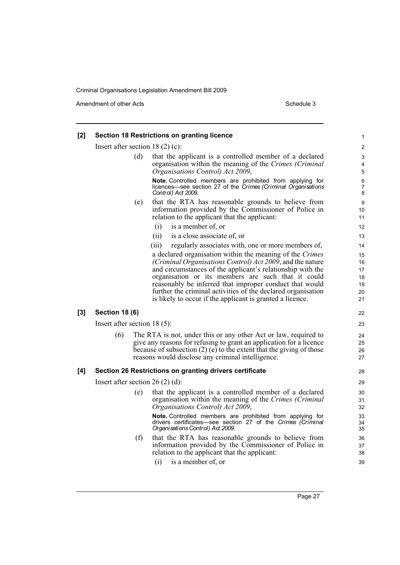Amendment of other Acts **Schedule 3** and the 3 schedule 3

#### **[2] Section 18 Restrictions on granting licence** Insert after section 18 (2) (c): (d) that the applicant is a controlled member of a declared organisation within the meaning of the *Crimes (Criminal Organisations Control) Act 2009*, **Note.** Controlled members are prohibited from applying for licences—see section 27 of the *Crimes (Criminal Organisations Control) Act 2009*. (e) that the RTA has reasonable grounds to believe from information provided by the Commissioner of Police in relation to the applicant that the applicant: (i) is a member of, or (ii) is a close associate of, or (iii) regularly associates with, one or more members of, a declared organisation within the meaning of the *Crimes (Criminal Organisations Control) Act 2009*, and the nature and circumstances of the applicant's relationship with the organisation or its members are such that it could reasonably be inferred that improper conduct that would further the criminal activities of the declared organisation is likely to occur if the applicant is granted a licence. **[3] Section 18 (6)** Insert after section 18 (5): (6) The RTA is not, under this or any other Act or law, required to give any reasons for refusing to grant an application for a licence because of subsection (2) (e) to the extent that the giving of those reasons would disclose any criminal intelligence. **[4] Section 26 Restrictions on granting drivers certificate** Insert after section 26 (2) (d): (e) that the applicant is a controlled member of a declared organisation within the meaning of the *Crimes (Criminal Organisations Control) Act 2009*, **Note.** Controlled members are prohibited from applying for drivers certificates—see section 27 of the *Crimes (Criminal Organisations Control) Act 2009*. (f) that the RTA has reasonable grounds to believe from information provided by the Commissioner of Police in relation to the applicant that the applicant: (i) is a member of, or 1 2 3 4 5 6 7 8 9  $10$ 11 12 13 14 15 16 17 18 19 20 21 22 23 24 25 26 27 28 29 30 31 32 33 34 35 36 37 38 39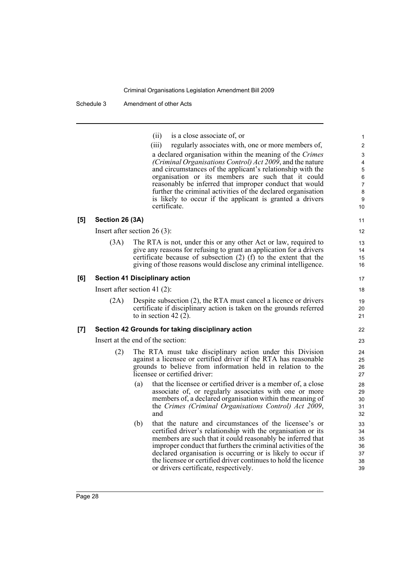| (ii) | is a close associate of, or |  |
|------|-----------------------------|--|
|      |                             |  |
|      |                             |  |

|     |                                 |     | is a close associate of, or<br>(i)                                                                                                                                                                                                                                                                                                                                                                                              | $\mathbf{1}$                           |
|-----|---------------------------------|-----|---------------------------------------------------------------------------------------------------------------------------------------------------------------------------------------------------------------------------------------------------------------------------------------------------------------------------------------------------------------------------------------------------------------------------------|----------------------------------------|
|     |                                 |     | (iii)<br>regularly associates with, one or more members of,                                                                                                                                                                                                                                                                                                                                                                     | $\boldsymbol{2}$                       |
|     |                                 |     | a declared organisation within the meaning of the Crimes<br>(Criminal Organisations Control) Act 2009, and the nature<br>and circumstances of the applicant's relationship with the                                                                                                                                                                                                                                             | 3<br>4<br>$\overline{5}$               |
|     |                                 |     | organisation or its members are such that it could<br>reasonably be inferred that improper conduct that would                                                                                                                                                                                                                                                                                                                   | 6<br>$\overline{7}$                    |
|     |                                 |     | further the criminal activities of the declared organisation                                                                                                                                                                                                                                                                                                                                                                    | 8                                      |
|     |                                 |     | is likely to occur if the applicant is granted a drivers<br>certificate.                                                                                                                                                                                                                                                                                                                                                        | 9<br>10                                |
| [5] | Section 26 (3A)                 |     |                                                                                                                                                                                                                                                                                                                                                                                                                                 | 11                                     |
|     | Insert after section $26(3)$ :  |     |                                                                                                                                                                                                                                                                                                                                                                                                                                 | 12                                     |
|     | (3A)                            |     | The RTA is not, under this or any other Act or law, required to<br>give any reasons for refusing to grant an application for a drivers<br>certificate because of subsection $(2)$ (f) to the extent that the<br>giving of those reasons would disclose any criminal intelligence.                                                                                                                                               | 13<br>14<br>15<br>16                   |
| [6] |                                 |     | <b>Section 41 Disciplinary action</b>                                                                                                                                                                                                                                                                                                                                                                                           | 17                                     |
|     | Insert after section 41 $(2)$ : |     |                                                                                                                                                                                                                                                                                                                                                                                                                                 | 18                                     |
|     | (2A)                            |     | Despite subsection (2), the RTA must cancel a licence or drivers<br>certificate if disciplinary action is taken on the grounds referred<br>to in section 42 $(2)$ .                                                                                                                                                                                                                                                             | 19<br>20<br>21                         |
| [7] |                                 |     | Section 42 Grounds for taking disciplinary action                                                                                                                                                                                                                                                                                                                                                                               | 22                                     |
|     |                                 |     | Insert at the end of the section:                                                                                                                                                                                                                                                                                                                                                                                               | 23                                     |
|     | (2)                             |     | The RTA must take disciplinary action under this Division<br>against a licensee or certified driver if the RTA has reasonable<br>grounds to believe from information held in relation to the<br>licensee or certified driver:                                                                                                                                                                                                   | 24<br>25<br>26<br>27                   |
|     |                                 | (a) | that the licensee or certified driver is a member of, a close<br>associate of, or regularly associates with one or more<br>members of, a declared organisation within the meaning of<br>the Crimes (Criminal Organisations Control) Act 2009,<br>and                                                                                                                                                                            | 28<br>29<br>30<br>31<br>32             |
|     |                                 | (b) | that the nature and circumstances of the licensee's or<br>certified driver's relationship with the organisation or its<br>members are such that it could reasonably be inferred that<br>improper conduct that furthers the criminal activities of the<br>declared organisation is occurring or is likely to occur if<br>the licensee or certified driver continues to hold the licence<br>or drivers certificate, respectively. | 33<br>34<br>35<br>36<br>37<br>38<br>39 |
|     |                                 |     |                                                                                                                                                                                                                                                                                                                                                                                                                                 |                                        |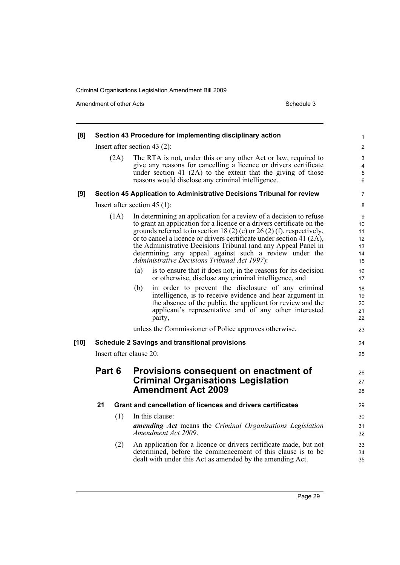| [8]    |        |      | Section 43 Procedure for implementing disciplinary action                                                                                                                                                                                                                                                                                                                                                                                                                 | 1                                     |
|--------|--------|------|---------------------------------------------------------------------------------------------------------------------------------------------------------------------------------------------------------------------------------------------------------------------------------------------------------------------------------------------------------------------------------------------------------------------------------------------------------------------------|---------------------------------------|
|        |        |      | Insert after section 43 $(2)$ :                                                                                                                                                                                                                                                                                                                                                                                                                                           | $\overline{c}$                        |
|        |        | (2A) | The RTA is not, under this or any other Act or law, required to<br>give any reasons for cancelling a licence or drivers certificate<br>under section 41 $(2A)$ to the extent that the giving of those<br>reasons would disclose any criminal intelligence.                                                                                                                                                                                                                | 3<br>4<br>5<br>6                      |
| [9]    |        |      | Section 45 Application to Administrative Decisions Tribunal for review                                                                                                                                                                                                                                                                                                                                                                                                    | 7                                     |
|        |        |      | Insert after section $45(1)$ :                                                                                                                                                                                                                                                                                                                                                                                                                                            | 8                                     |
|        |        | (1A) | In determining an application for a review of a decision to refuse<br>to grant an application for a licence or a drivers certificate on the<br>grounds referred to in section 18 (2) (e) or 26 (2) (f), respectively,<br>or to cancel a licence or drivers certificate under section 41 (2A),<br>the Administrative Decisions Tribunal (and any Appeal Panel in<br>determining any appeal against such a review under the<br>Administrative Decisions Tribunal Act 1997): | 9<br>10<br>11<br>12<br>13<br>14<br>15 |
|        |        |      | is to ensure that it does not, in the reasons for its decision<br>(a)<br>or otherwise, disclose any criminal intelligence, and                                                                                                                                                                                                                                                                                                                                            | 16<br>17                              |
|        |        |      | in order to prevent the disclosure of any criminal<br>(b)<br>intelligence, is to receive evidence and hear argument in<br>the absence of the public, the applicant for review and the<br>applicant's representative and of any other interested<br>party,                                                                                                                                                                                                                 | 18<br>19<br>20<br>21<br>22            |
|        |        |      | unless the Commissioner of Police approves otherwise.                                                                                                                                                                                                                                                                                                                                                                                                                     | 23                                    |
| $[10]$ |        |      | <b>Schedule 2 Savings and transitional provisions</b>                                                                                                                                                                                                                                                                                                                                                                                                                     | 24                                    |
|        |        |      | Insert after clause 20:                                                                                                                                                                                                                                                                                                                                                                                                                                                   | 25                                    |
|        | Part 6 |      | Provisions consequent on enactment of<br><b>Criminal Organisations Legislation</b><br><b>Amendment Act 2009</b>                                                                                                                                                                                                                                                                                                                                                           | 26<br>27<br>28                        |
|        | 21     |      | Grant and cancellation of licences and drivers certificates                                                                                                                                                                                                                                                                                                                                                                                                               | 29                                    |
|        |        | (1)  | In this clause:<br><b>amending Act</b> means the Criminal Organisations Legislation<br>Amendment Act 2009.                                                                                                                                                                                                                                                                                                                                                                | 30<br>31<br>32                        |
|        |        | (2)  | An application for a licence or drivers certificate made, but not<br>determined, before the commencement of this clause is to be<br>dealt with under this Act as amended by the amending Act.                                                                                                                                                                                                                                                                             | 33<br>34<br>35                        |